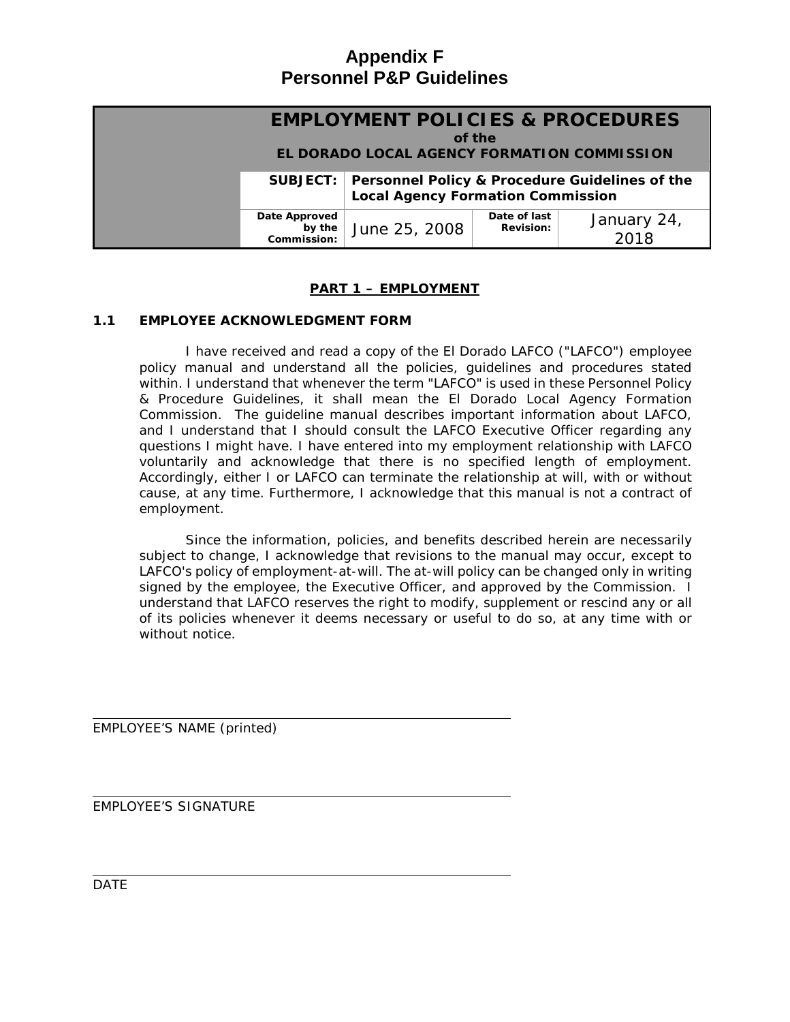# **Appendix F Personnel P&P Guidelines**

| <b>EMPLOYMENT POLICIES &amp; PROCEDURES</b><br>of the<br><b>EL DORADO LOCAL AGENCY FORMATION COMMISSION</b> |                                        |                                                                                                     |                                  |                     |  |
|-------------------------------------------------------------------------------------------------------------|----------------------------------------|-----------------------------------------------------------------------------------------------------|----------------------------------|---------------------|--|
|                                                                                                             |                                        | SUBJECT: Personnel Policy & Procedure Guidelines of the<br><b>Local Agency Formation Commission</b> |                                  |                     |  |
|                                                                                                             | Date Approved<br>by the<br>Commission: | June 25, 2008                                                                                       | Date of last<br><b>Revision:</b> | January 24,<br>2018 |  |

# **PART 1 – EMPLOYMENT**

# **1.1 EMPLOYEE ACKNOWLEDGMENT FORM**

I have received and read a copy of the El Dorado LAFCO ("LAFCO") employee policy manual and understand all the policies, guidelines and procedures stated within. I understand that whenever the term "LAFCO" is used in these Personnel Policy & Procedure Guidelines, it shall mean the El Dorado Local Agency Formation Commission. The guideline manual describes important information about LAFCO, and I understand that I should consult the LAFCO Executive Officer regarding any questions I might have. I have entered into my employment relationship with LAFCO voluntarily and acknowledge that there is no specified length of employment. Accordingly, either I or LAFCO can terminate the relationship at will, with or without cause, at any time. Furthermore, I acknowledge that this manual is not a contract of employment.

Since the information, policies, and benefits described herein are necessarily subject to change, I acknowledge that revisions to the manual may occur, except to LAFCO's policy of employment-at-will. The at-will policy can be changed only in writing signed by the employee, the Executive Officer, and approved by the Commission. I understand that LAFCO reserves the right to modify, supplement or rescind any or all of its policies whenever it deems necessary or useful to do so, at any time with or without notice.

EMPLOYEE'S NAME (printed)

EMPLOYEE'S SIGNATURE

DATE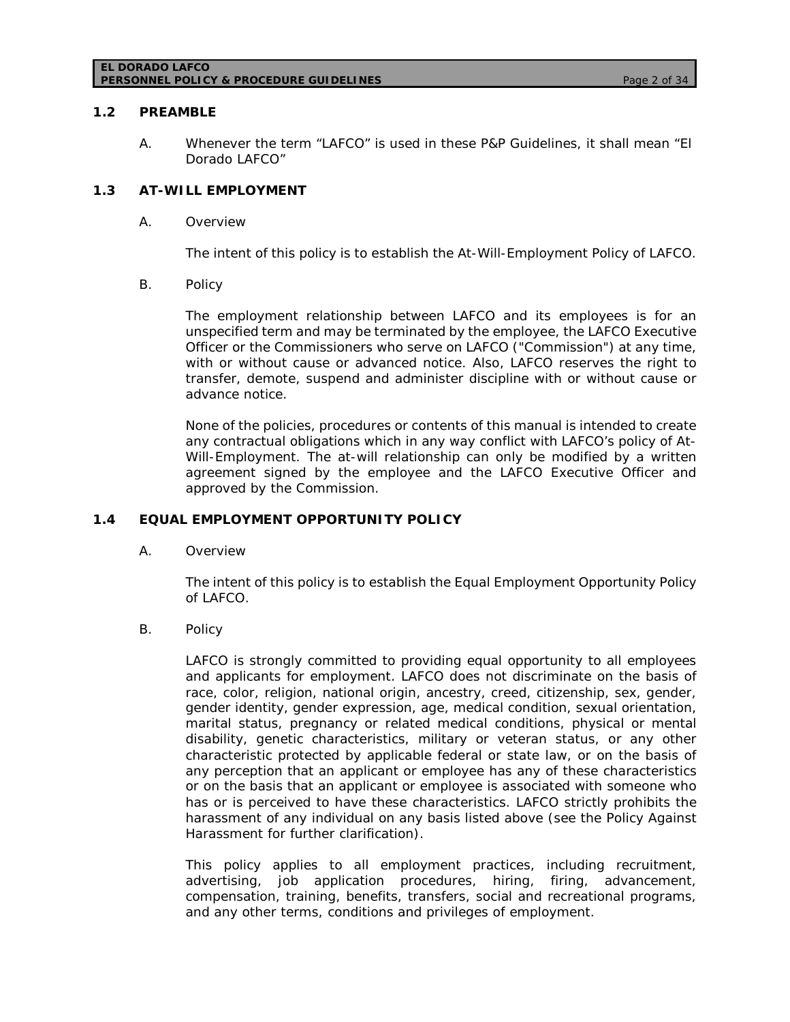#### **EL DORADO LAFCO PERSONNEL POLICY & PROCEDURE GUIDELINES** *Page 2 of 34*

### **1.2 PREAMBLE**

A. Whenever the term "LAFCO" is used in these P&P Guidelines, it shall mean "El Dorado LAFCO"

# **1.3 AT-WILL EMPLOYMENT**

A. Overview

The intent of this policy is to establish the At-Will-Employment Policy of LAFCO.

B. Policy

The employment relationship between LAFCO and its employees is for an unspecified term and may be terminated by the employee, the LAFCO Executive Officer or the Commissioners who serve on LAFCO ("Commission") at any time, with or without cause or advanced notice. Also, LAFCO reserves the right to transfer, demote, suspend and administer discipline with or without cause or advance notice.

None of the policies, procedures or contents of this manual is intended to create any contractual obligations which in any way conflict with LAFCO's policy of At-Will-Employment. The at-will relationship can only be modified by a written agreement signed by the employee and the LAFCO Executive Officer and approved by the Commission.

### **1.4 EQUAL EMPLOYMENT OPPORTUNITY POLICY**

A. Overview

The intent of this policy is to establish the Equal Employment Opportunity Policy of LAFCO.

B. Policy

LAFCO is strongly committed to providing equal opportunity to all employees and applicants for employment. LAFCO does not discriminate on the basis of race, color, religion, national origin, ancestry, creed, citizenship, sex, gender, gender identity, gender expression, age, medical condition, sexual orientation, marital status, pregnancy or related medical conditions, physical or mental disability, genetic characteristics, military or veteran status, or any other characteristic protected by applicable federal or state law, or on the basis of any perception that an applicant or employee has any of these characteristics or on the basis that an applicant or employee is associated with someone who has or is perceived to have these characteristics. LAFCO strictly prohibits the harassment of any individual on any basis listed above (see the Policy Against Harassment for further clarification).

This policy applies to all employment practices, including recruitment, advertising, job application procedures, hiring, firing, advancement, compensation, training, benefits, transfers, social and recreational programs, and any other terms, conditions and privileges of employment.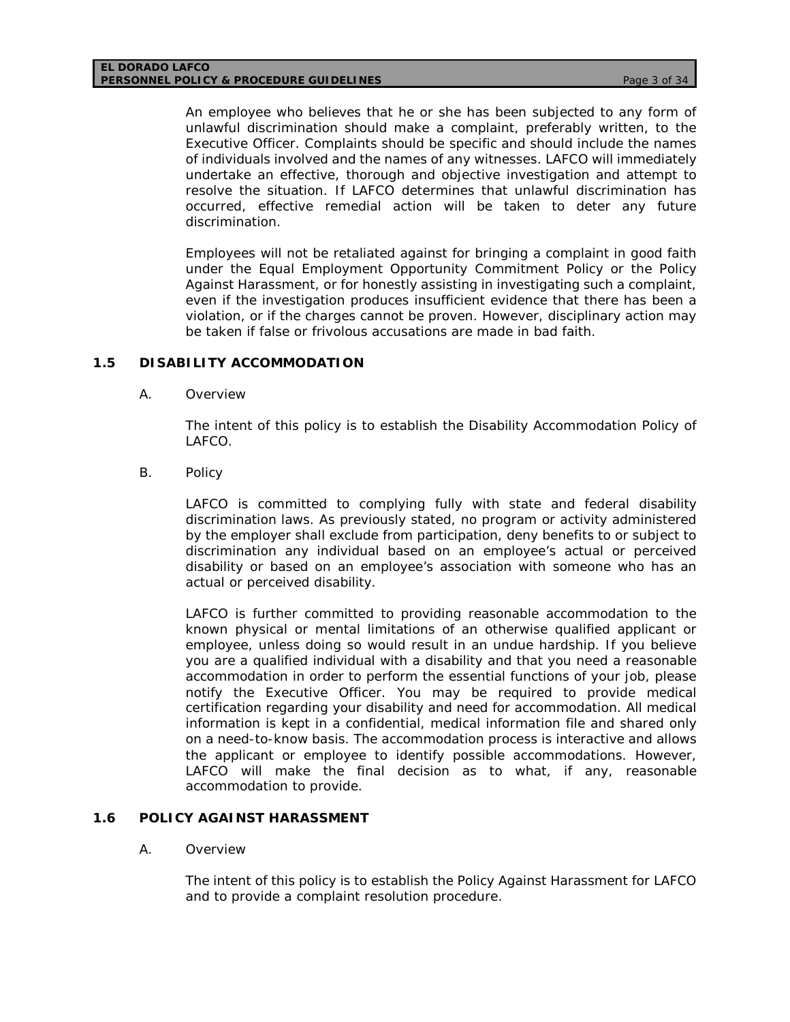An employee who believes that he or she has been subjected to any form of unlawful discrimination should make a complaint, preferably written, to the Executive Officer. Complaints should be specific and should include the names of individuals involved and the names of any witnesses. LAFCO will immediately undertake an effective, thorough and objective investigation and attempt to resolve the situation. If LAFCO determines that unlawful discrimination has occurred, effective remedial action will be taken to deter any future discrimination.

Employees will not be retaliated against for bringing a complaint in good faith under the Equal Employment Opportunity Commitment Policy or the Policy Against Harassment, or for honestly assisting in investigating such a complaint, even if the investigation produces insufficient evidence that there has been a violation, or if the charges cannot be proven. However, disciplinary action may be taken if false or frivolous accusations are made in bad faith.

# **1.5 DISABILITY ACCOMMODATION**

A. Overview

The intent of this policy is to establish the Disability Accommodation Policy of LAFCO.

B. Policy

LAFCO is committed to complying fully with state and federal disability discrimination laws. As previously stated, no program or activity administered by the employer shall exclude from participation, deny benefits to or subject to discrimination any individual based on an employee's actual or perceived disability or based on an employee's association with someone who has an actual or perceived disability.

LAFCO is further committed to providing reasonable accommodation to the known physical or mental limitations of an otherwise qualified applicant or employee, unless doing so would result in an undue hardship. If you believe you are a qualified individual with a disability and that you need a reasonable accommodation in order to perform the essential functions of your job, please notify the Executive Officer. You may be required to provide medical certification regarding your disability and need for accommodation. All medical information is kept in a confidential, medical information file and shared only on a need-to-know basis. The accommodation process is interactive and allows the applicant or employee to identify possible accommodations. However, LAFCO will make the final decision as to what, if any, reasonable accommodation to provide.

### **1.6 POLICY AGAINST HARASSMENT**

A. Overview

The intent of this policy is to establish the Policy Against Harassment for LAFCO and to provide a complaint resolution procedure.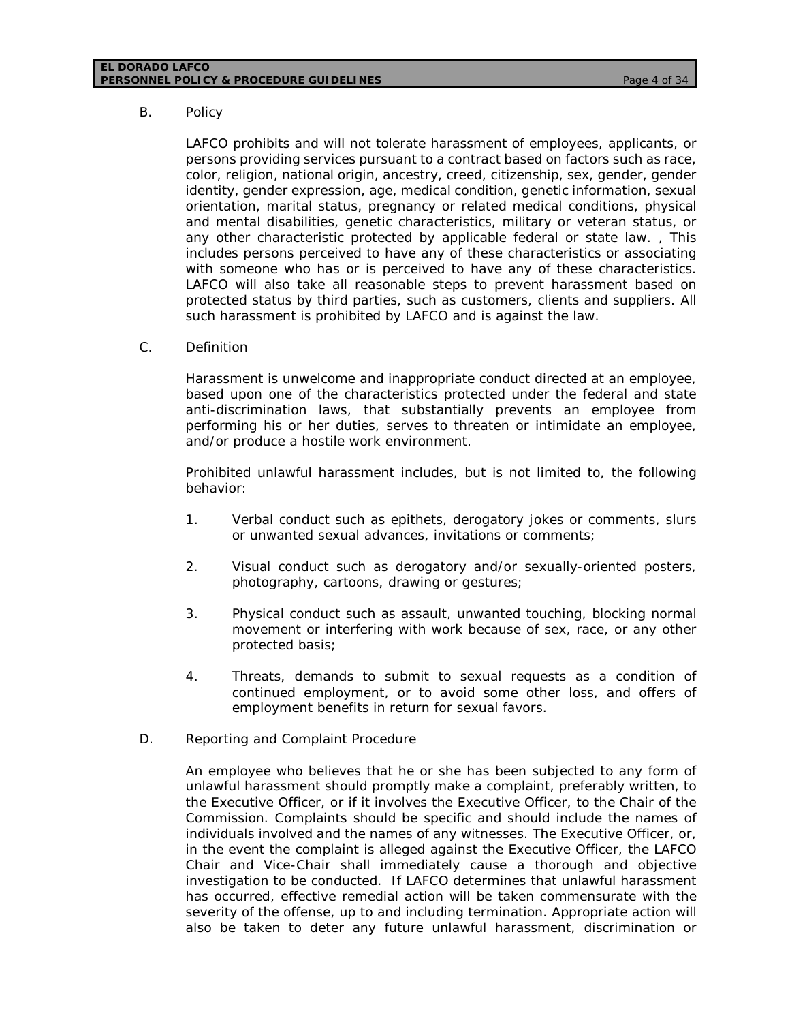#### **EL DORADO LAFCO PERSONNEL POLICY & PROCEDURE GUIDELINES** *Page 4 of 34*

### B. Policy

LAFCO prohibits and will not tolerate harassment of employees, applicants, or persons providing services pursuant to a contract based on factors such as race, color, religion, national origin, ancestry, creed, citizenship, sex, gender, gender identity, gender expression, age, medical condition, genetic information, sexual orientation, marital status, pregnancy or related medical conditions, physical and mental disabilities, genetic characteristics, military or veteran status, or any other characteristic protected by applicable federal or state law. , This includes persons perceived to have any of these characteristics or associating with someone who has or is perceived to have any of these characteristics. LAFCO will also take all reasonable steps to prevent harassment based on protected status by third parties, such as customers, clients and suppliers. All such harassment is prohibited by LAFCO and is against the law.

C. Definition

Harassment is unwelcome and inappropriate conduct directed at an employee, based upon one of the characteristics protected under the federal and state anti-discrimination laws, that substantially prevents an employee from performing his or her duties, serves to threaten or intimidate an employee, and/or produce a hostile work environment.

Prohibited unlawful harassment includes, but is not limited to, the following behavior:

- 1. Verbal conduct such as epithets, derogatory jokes or comments, slurs or unwanted sexual advances, invitations or comments;
- 2. Visual conduct such as derogatory and/or sexually-oriented posters, photography, cartoons, drawing or gestures;
- 3. Physical conduct such as assault, unwanted touching, blocking normal movement or interfering with work because of sex, race, or any other protected basis;
- 4. Threats, demands to submit to sexual requests as a condition of continued employment, or to avoid some other loss, and offers of employment benefits in return for sexual favors.
- D. Reporting and Complaint Procedure

An employee who believes that he or she has been subjected to any form of unlawful harassment should promptly make a complaint, preferably written, to the Executive Officer, or if it involves the Executive Officer, to the Chair of the Commission. Complaints should be specific and should include the names of individuals involved and the names of any witnesses. The Executive Officer, or, in the event the complaint is alleged against the Executive Officer, the LAFCO Chair and Vice-Chair shall immediately cause a thorough and objective investigation to be conducted. If LAFCO determines that unlawful harassment has occurred, effective remedial action will be taken commensurate with the severity of the offense, up to and including termination. Appropriate action will also be taken to deter any future unlawful harassment, discrimination or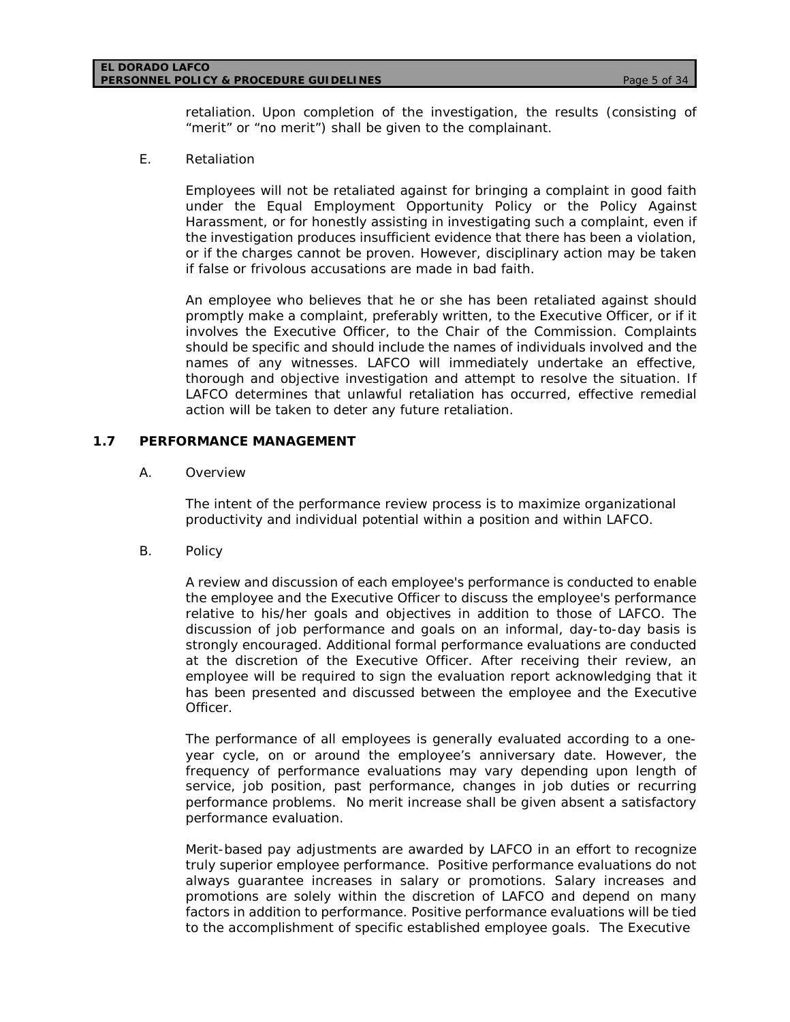#### **EL DORADO LAFCO PERSONNEL POLICY & PROCEDURE GUIDELINES** *Page 5 of 34*

retaliation. Upon completion of the investigation, the results (consisting of "merit" or "no merit") shall be given to the complainant.

# E. Retaliation

Employees will not be retaliated against for bringing a complaint in good faith under the Equal Employment Opportunity Policy or the Policy Against Harassment, or for honestly assisting in investigating such a complaint, even if the investigation produces insufficient evidence that there has been a violation, or if the charges cannot be proven. However, disciplinary action may be taken if false or frivolous accusations are made in bad faith.

An employee who believes that he or she has been retaliated against should promptly make a complaint, preferably written, to the Executive Officer, or if it involves the Executive Officer, to the Chair of the Commission. Complaints should be specific and should include the names of individuals involved and the names of any witnesses. LAFCO will immediately undertake an effective, thorough and objective investigation and attempt to resolve the situation. If LAFCO determines that unlawful retaliation has occurred, effective remedial action will be taken to deter any future retaliation.

# **1.7 PERFORMANCE MANAGEMENT**

### A. Overview

The intent of the performance review process is to maximize organizational productivity and individual potential within a position and within LAFCO.

B. Policy

A review and discussion of each employee's performance is conducted to enable the employee and the Executive Officer to discuss the employee's performance relative to his/her goals and objectives in addition to those of LAFCO. The discussion of job performance and goals on an informal, day-to-day basis is strongly encouraged. Additional formal performance evaluations are conducted at the discretion of the Executive Officer. After receiving their review, an employee will be required to sign the evaluation report acknowledging that it has been presented and discussed between the employee and the Executive Officer.

The performance of all employees is generally evaluated according to a oneyear cycle, on or around the employee's anniversary date. However, the frequency of performance evaluations may vary depending upon length of service, job position, past performance, changes in job duties or recurring performance problems. No merit increase shall be given absent a satisfactory performance evaluation.

Merit-based pay adjustments are awarded by LAFCO in an effort to recognize truly superior employee performance. Positive performance evaluations do not always guarantee increases in salary or promotions. Salary increases and promotions are solely within the discretion of LAFCO and depend on many factors in addition to performance. Positive performance evaluations will be tied to the accomplishment of specific established employee goals. The Executive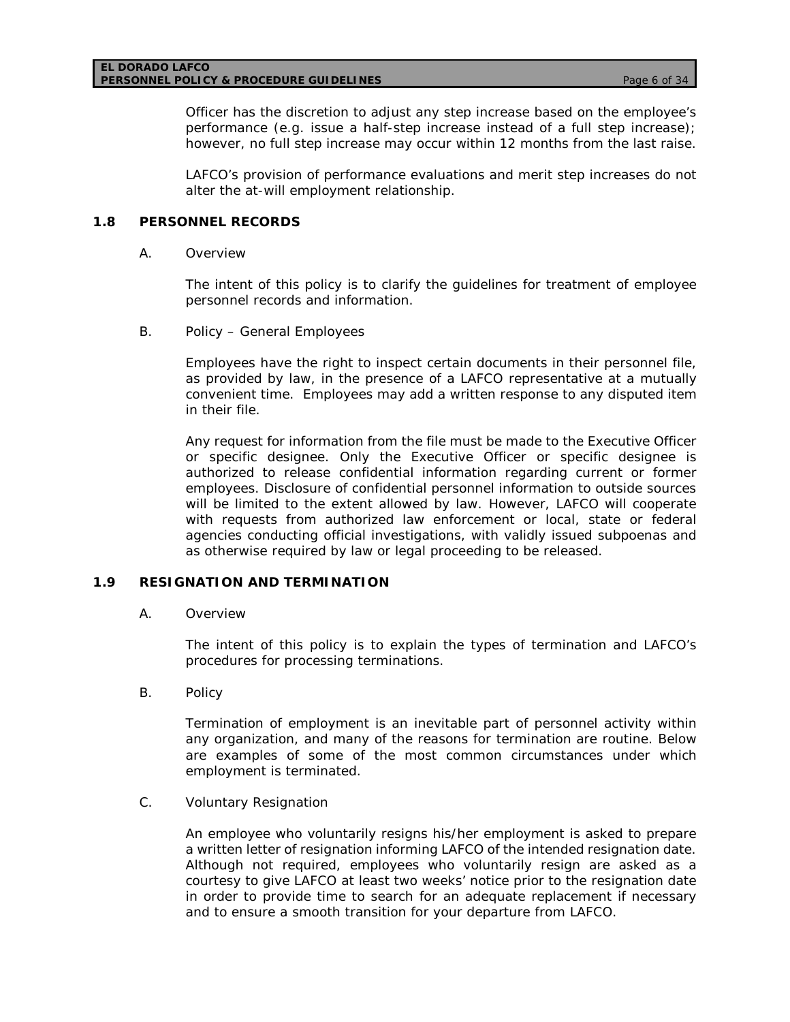#### **EL DORADO LAFCO PERSONNEL POLICY & PROCEDURE GUIDELINES** *Page 6 of 34*

Officer has the discretion to adjust any step increase based on the employee's performance (e.g. issue a half-step increase instead of a full step increase); however, no full step increase may occur within 12 months from the last raise.

LAFCO's provision of performance evaluations and merit step increases do not alter the at-will employment relationship.

# **1.8 PERSONNEL RECORDS**

A. Overview

The intent of this policy is to clarify the guidelines for treatment of employee personnel records and information.

B. Policy – General Employees

Employees have the right to inspect certain documents in their personnel file, as provided by law, in the presence of a LAFCO representative at a mutually convenient time. Employees may add a written response to any disputed item in their file.

Any request for information from the file must be made to the Executive Officer or specific designee. Only the Executive Officer or specific designee is authorized to release confidential information regarding current or former employees. Disclosure of confidential personnel information to outside sources will be limited to the extent allowed by law. However, LAFCO will cooperate with requests from authorized law enforcement or local, state or federal agencies conducting official investigations, with validly issued subpoenas and as otherwise required by law or legal proceeding to be released.

# **1.9 RESIGNATION AND TERMINATION**

A. Overview

The intent of this policy is to explain the types of termination and LAFCO's procedures for processing terminations.

B. Policy

Termination of employment is an inevitable part of personnel activity within any organization, and many of the reasons for termination are routine. Below are examples of some of the most common circumstances under which employment is terminated.

C. Voluntary Resignation

An employee who voluntarily resigns his/her employment is asked to prepare a written letter of resignation informing LAFCO of the intended resignation date. Although not required, employees who voluntarily resign are asked as a courtesy to give LAFCO at least two weeks' notice prior to the resignation date in order to provide time to search for an adequate replacement if necessary and to ensure a smooth transition for your departure from LAFCO.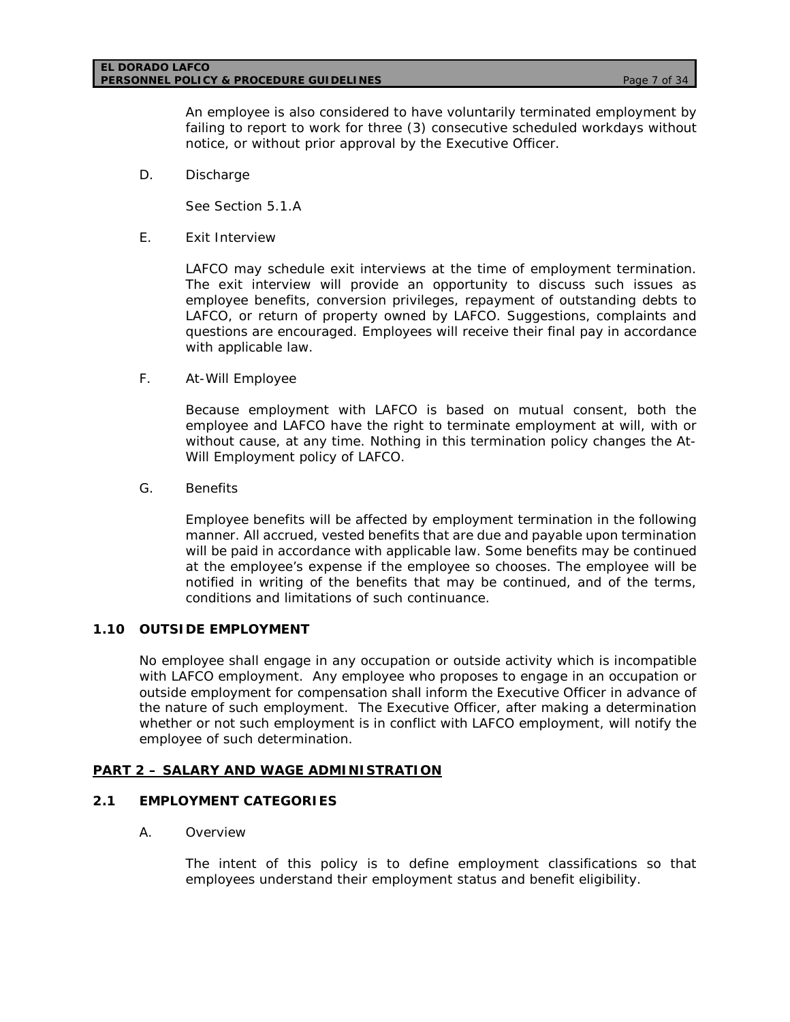#### **EL DORADO LAFCO PERSONNEL POLICY & PROCEDURE GUIDELINES** *Page 7 of 34*

An employee is also considered to have voluntarily terminated employment by failing to report to work for three (3) consecutive scheduled workdays without notice, or without prior approval by the Executive Officer.

D. Discharge

See Section 5.1.A

E. Exit Interview

LAFCO may schedule exit interviews at the time of employment termination. The exit interview will provide an opportunity to discuss such issues as employee benefits, conversion privileges, repayment of outstanding debts to LAFCO, or return of property owned by LAFCO. Suggestions, complaints and questions are encouraged. Employees will receive their final pay in accordance with applicable law.

F. At-Will Employee

Because employment with LAFCO is based on mutual consent, both the employee and LAFCO have the right to terminate employment at will, with or without cause, at any time. Nothing in this termination policy changes the At-Will Employment policy of LAFCO.

G. Benefits

Employee benefits will be affected by employment termination in the following manner. All accrued, vested benefits that are due and payable upon termination will be paid in accordance with applicable law. Some benefits may be continued at the employee's expense if the employee so chooses. The employee will be notified in writing of the benefits that may be continued, and of the terms, conditions and limitations of such continuance.

# **1.10 OUTSIDE EMPLOYMENT**

No employee shall engage in any occupation or outside activity which is incompatible with LAFCO employment. Any employee who proposes to engage in an occupation or outside employment for compensation shall inform the Executive Officer in advance of the nature of such employment. The Executive Officer, after making a determination whether or not such employment is in conflict with LAFCO employment, will notify the employee of such determination.

### **PART 2 – SALARY AND WAGE ADMINISTRATION**

# **2.1 EMPLOYMENT CATEGORIES**

A. Overview

The intent of this policy is to define employment classifications so that employees understand their employment status and benefit eligibility.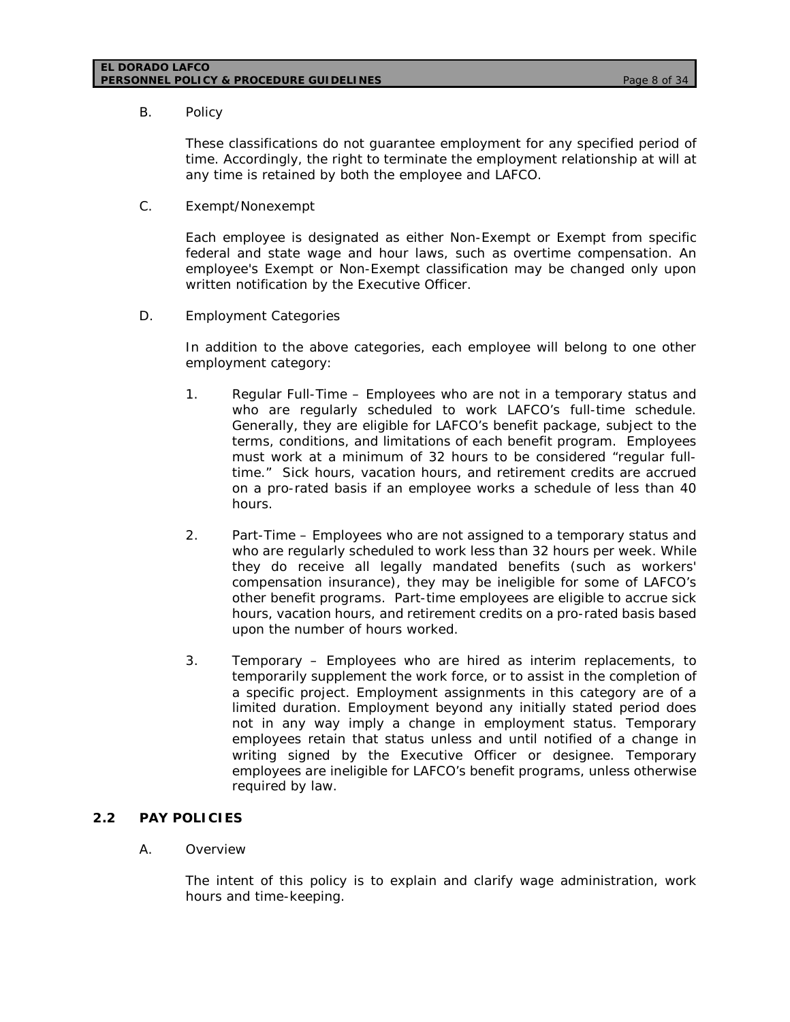#### **EL DORADO LAFCO PERSONNEL POLICY & PROCEDURE GUIDELINES** *Page 8 of 34*

B. Policy

These classifications do not guarantee employment for any specified period of time. Accordingly, the right to terminate the employment relationship at will at any time is retained by both the employee and LAFCO.

C. Exempt/Nonexempt

Each employee is designated as either Non-Exempt or Exempt from specific federal and state wage and hour laws, such as overtime compensation. An employee's Exempt or Non-Exempt classification may be changed only upon written notification by the Executive Officer.

D. Employment Categories

In addition to the above categories, each employee will belong to one other employment category:

- 1. Regular Full-Time Employees who are not in a temporary status and who are regularly scheduled to work LAFCO's full-time schedule. Generally, they are eligible for LAFCO's benefit package, subject to the terms, conditions, and limitations of each benefit program. Employees must work at a minimum of 32 hours to be considered "regular fulltime." Sick hours, vacation hours, and retirement credits are accrued on a pro-rated basis if an employee works a schedule of less than 40 hours.
- 2. Part-Time Employees who are not assigned to a temporary status and who are regularly scheduled to work less than 32 hours per week. While they do receive all legally mandated benefits (such as workers' compensation insurance), they may be ineligible for some of LAFCO's other benefit programs. Part-time employees are eligible to accrue sick hours, vacation hours, and retirement credits on a pro-rated basis based upon the number of hours worked.
- 3. Temporary Employees who are hired as interim replacements, to temporarily supplement the work force, or to assist in the completion of a specific project. Employment assignments in this category are of a limited duration. Employment beyond any initially stated period does not in any way imply a change in employment status. Temporary employees retain that status unless and until notified of a change in writing signed by the Executive Officer or designee. Temporary employees are ineligible for LAFCO's benefit programs, unless otherwise required by law.

### **2.2 PAY POLICIES**

### A. Overview

The intent of this policy is to explain and clarify wage administration, work hours and time-keeping.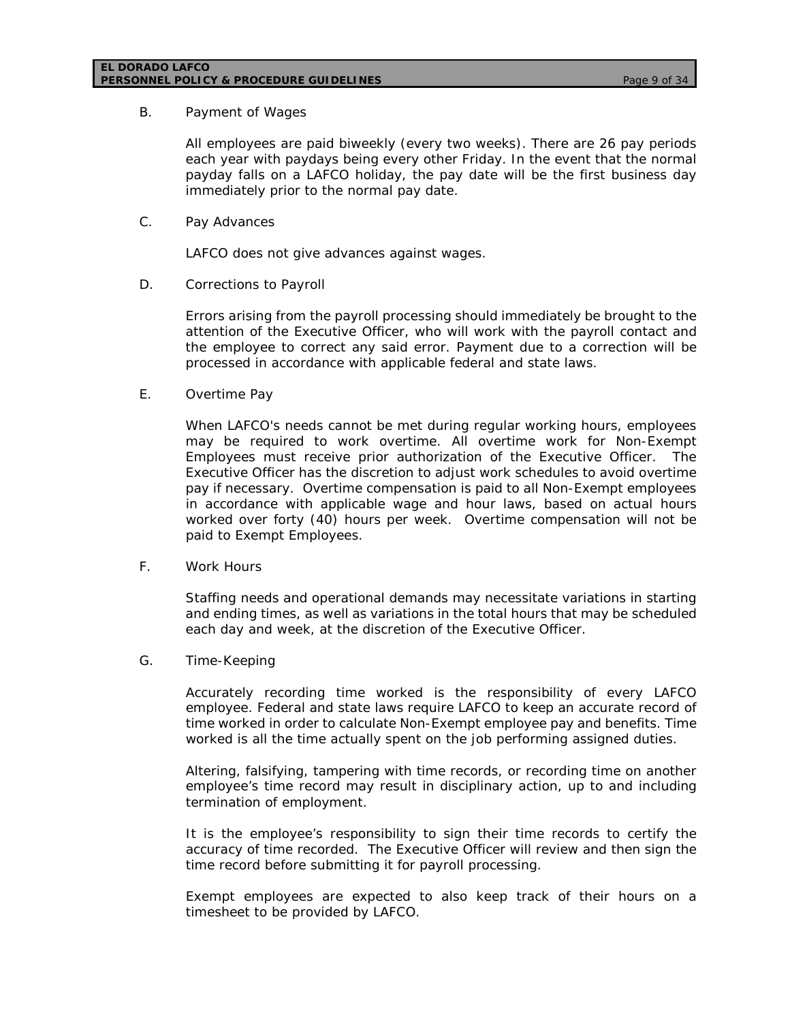### B. Payment of Wages

All employees are paid biweekly (every two weeks). There are 26 pay periods each year with paydays being every other Friday. In the event that the normal payday falls on a LAFCO holiday, the pay date will be the first business day immediately prior to the normal pay date.

C. Pay Advances

LAFCO does not give advances against wages.

D. Corrections to Payroll

Errors arising from the payroll processing should immediately be brought to the attention of the Executive Officer, who will work with the payroll contact and the employee to correct any said error. Payment due to a correction will be processed in accordance with applicable federal and state laws.

E. Overtime Pay

When LAFCO's needs cannot be met during regular working hours, employees may be required to work overtime. All overtime work for Non-Exempt Employees must receive prior authorization of the Executive Officer. The Executive Officer has the discretion to adjust work schedules to avoid overtime pay if necessary. Overtime compensation is paid to all Non-Exempt employees in accordance with applicable wage and hour laws, based on actual hours worked over forty (40) hours per week. Overtime compensation will not be paid to Exempt Employees.

F. Work Hours

Staffing needs and operational demands may necessitate variations in starting and ending times, as well as variations in the total hours that may be scheduled each day and week, at the discretion of the Executive Officer.

G. Time-Keeping

Accurately recording time worked is the responsibility of every LAFCO employee. Federal and state laws require LAFCO to keep an accurate record of time worked in order to calculate Non-Exempt employee pay and benefits. Time worked is all the time actually spent on the job performing assigned duties.

Altering, falsifying, tampering with time records, or recording time on another employee's time record may result in disciplinary action, up to and including termination of employment.

It is the employee's responsibility to sign their time records to certify the accuracy of time recorded. The Executive Officer will review and then sign the time record before submitting it for payroll processing.

Exempt employees are expected to also keep track of their hours on a timesheet to be provided by LAFCO.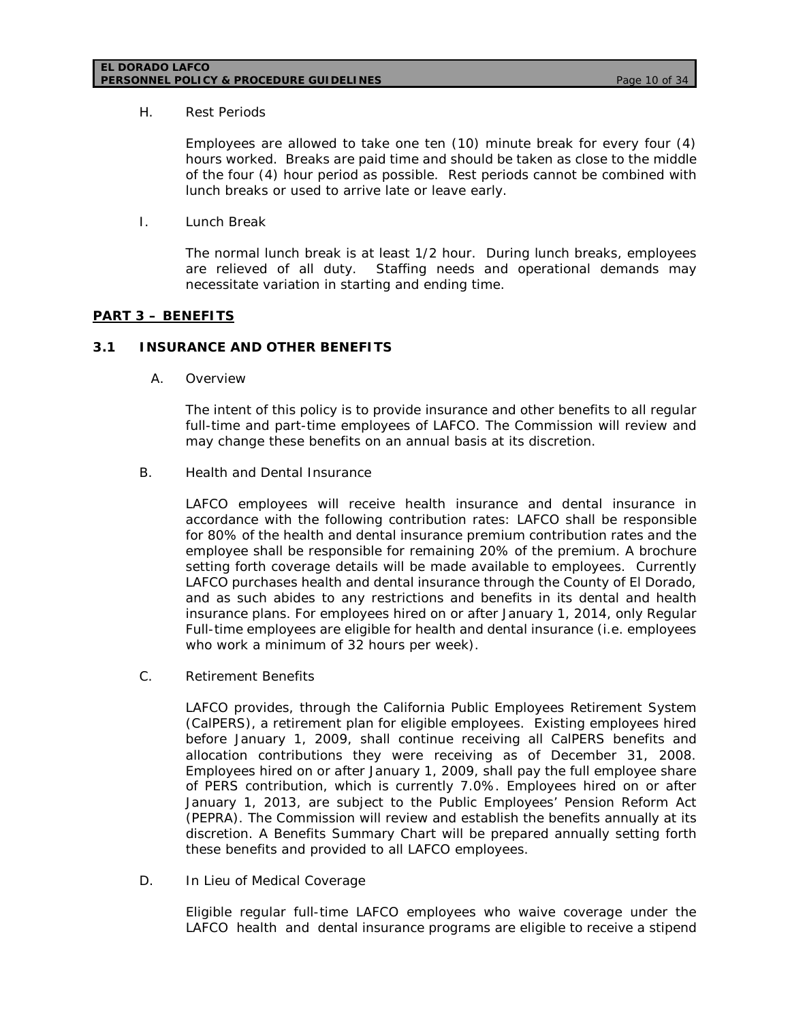#### **EL DORADO LAFCO PERSONNEL POLICY & PROCEDURE GUIDELINES** *Page 10 of 34*

#### H. Rest Periods

Employees are allowed to take one ten (10) minute break for every four (4) hours worked. Breaks are paid time and should be taken as close to the middle of the four (4) hour period as possible. Rest periods cannot be combined with lunch breaks or used to arrive late or leave early.

I. Lunch Break

The normal lunch break is at least 1/2 hour. During lunch breaks, employees are relieved of all duty. Staffing needs and operational demands may necessitate variation in starting and ending time.

# **PART 3 – BENEFITS**

# **3.1 INSURANCE AND OTHER BENEFITS**

A. Overview

The intent of this policy is to provide insurance and other benefits to all regular full-time and part-time employees of LAFCO. The Commission will review and may change these benefits on an annual basis at its discretion.

B. Health and Dental Insurance

LAFCO employees will receive health insurance and dental insurance in accordance with the following contribution rates: LAFCO shall be responsible for 80% of the health and dental insurance premium contribution rates and the employee shall be responsible for remaining 20% of the premium. A brochure setting forth coverage details will be made available to employees. Currently LAFCO purchases health and dental insurance through the County of El Dorado, and as such abides to any restrictions and benefits in its dental and health insurance plans. For employees hired on or after January 1, 2014, only Regular Full-time employees are eligible for health and dental insurance (i.e. employees who work a minimum of 32 hours per week).

C. Retirement Benefits

LAFCO provides, through the California Public Employees Retirement System (CalPERS), a retirement plan for eligible employees. Existing employees hired before January 1, 2009, shall continue receiving all CalPERS benefits and allocation contributions they were receiving as of December 31, 2008. Employees hired on or after January 1, 2009, shall pay the full employee share of PERS contribution, which is currently 7.0%. Employees hired on or after January 1, 2013, are subject to the Public Employees' Pension Reform Act (PEPRA). The Commission will review and establish the benefits annually at its discretion. A Benefits Summary Chart will be prepared annually setting forth these benefits and provided to all LAFCO employees.

D. In Lieu of Medical Coverage

Eligible regular full-time LAFCO employees who waive coverage under the LAFCO health and dental insurance programs are eligible to receive a stipend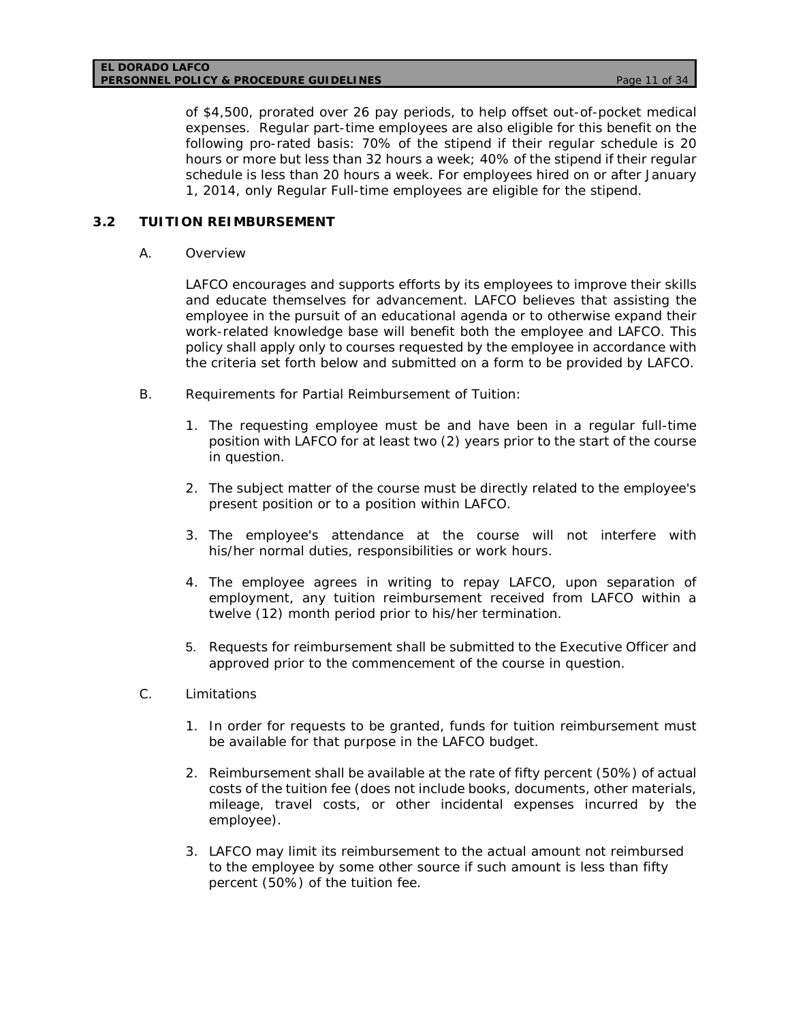of \$4,500, prorated over 26 pay periods, to help offset out-of-pocket medical expenses. Regular part-time employees are also eligible for this benefit on the following pro-rated basis: 70% of the stipend if their regular schedule is 20 hours or more but less than 32 hours a week; 40% of the stipend if their regular schedule is less than 20 hours a week. For employees hired on or after January 1, 2014, only Regular Full-time employees are eligible for the stipend.

## **3.2 TUITION REIMBURSEMENT**

### A. Overview

LAFCO encourages and supports efforts by its employees to improve their skills and educate themselves for advancement. LAFCO believes that assisting the employee in the pursuit of an educational agenda or to otherwise expand their work-related knowledge base will benefit both the employee and LAFCO. This policy shall apply only to courses requested by the employee in accordance with the criteria set forth below and submitted on a form to be provided by LAFCO.

- B. Requirements for Partial Reimbursement of Tuition:
	- 1. The requesting employee must be and have been in a regular full-time position with LAFCO for at least two (2) years prior to the start of the course in question.
	- 2. The subject matter of the course must be directly related to the employee's present position or to a position within LAFCO.
	- 3. The employee's attendance at the course will not interfere with his/her normal duties, responsibilities or work hours.
	- 4. The employee agrees in writing to repay LAFCO, upon separation of employment, any tuition reimbursement received from LAFCO within a twelve (12) month period prior to his/her termination.
	- 5. Requests for reimbursement shall be submitted to the Executive Officer and approved prior to the commencement of the course in question.
- C. Limitations
	- 1. In order for requests to be granted, funds for tuition reimbursement must be available for that purpose in the LAFCO budget.
	- 2. Reimbursement shall be available at the rate of fifty percent (50%) of actual costs of the tuition fee (does not include books, documents, other materials, mileage, travel costs, or other incidental expenses incurred by the employee).
	- 3. LAFCO may limit its reimbursement to the actual amount not reimbursed to the employee by some other source if such amount is less than fifty percent (50%) of the tuition fee.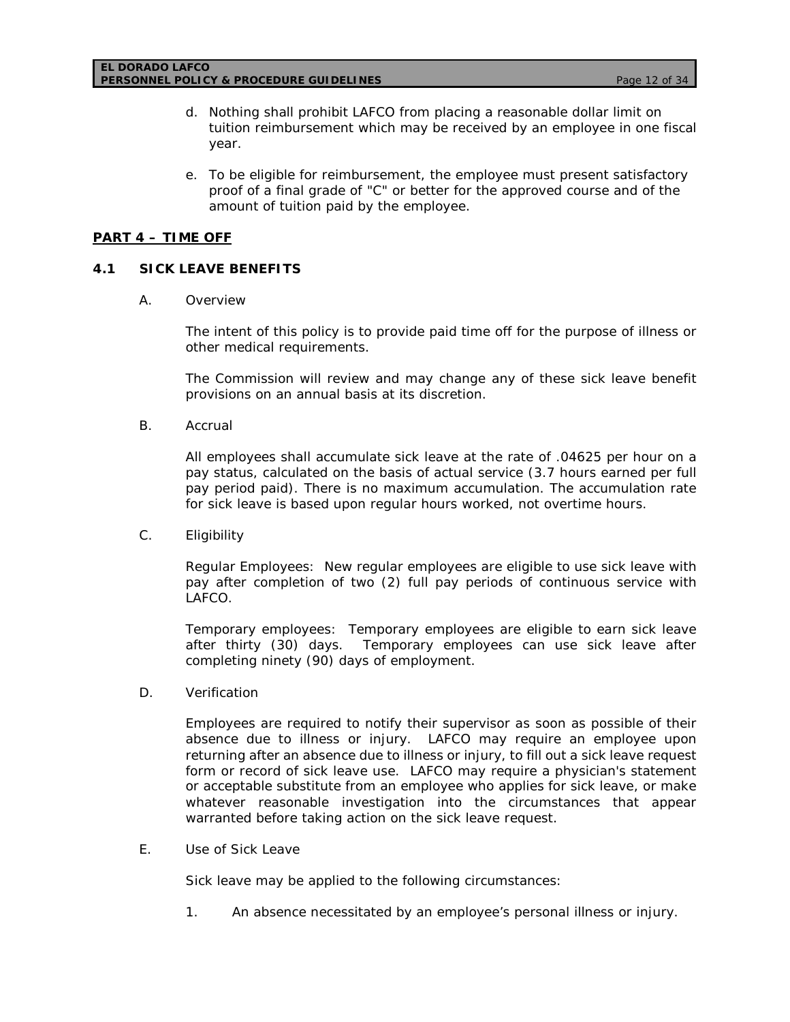- d. Nothing shall prohibit LAFCO from placing a reasonable dollar limit on tuition reimbursement which may be received by an employee in one fiscal year.
- e. To be eligible for reimbursement, the employee must present satisfactory proof of a final grade of "C" or better for the approved course and of the amount of tuition paid by the employee.

# **PART 4 – TIME OFF**

# **4.1 SICK LEAVE BENEFITS**

A. Overview

The intent of this policy is to provide paid time off for the purpose of illness or other medical requirements.

The Commission will review and may change any of these sick leave benefit provisions on an annual basis at its discretion.

B. Accrual

All employees shall accumulate sick leave at the rate of .04625 per hour on a pay status, calculated on the basis of actual service (3.7 hours earned per full pay period paid). There is no maximum accumulation. The accumulation rate for sick leave is based upon regular hours worked, not overtime hours.

C. Eligibility

Regular Employees: New regular employees are eligible to use sick leave with pay after completion of two (2) full pay periods of continuous service with LAFCO.

Temporary employees: Temporary employees are eligible to earn sick leave after thirty (30) days. Temporary employees can use sick leave after completing ninety (90) days of employment.

D. Verification

Employees are required to notify their supervisor as soon as possible of their absence due to illness or injury. LAFCO may require an employee upon returning after an absence due to illness or injury, to fill out a sick leave request form or record of sick leave use. LAFCO may require a physician's statement or acceptable substitute from an employee who applies for sick leave, or make whatever reasonable investigation into the circumstances that appear warranted before taking action on the sick leave request.

E. Use of Sick Leave

Sick leave may be applied to the following circumstances:

1. An absence necessitated by an employee's personal illness or injury.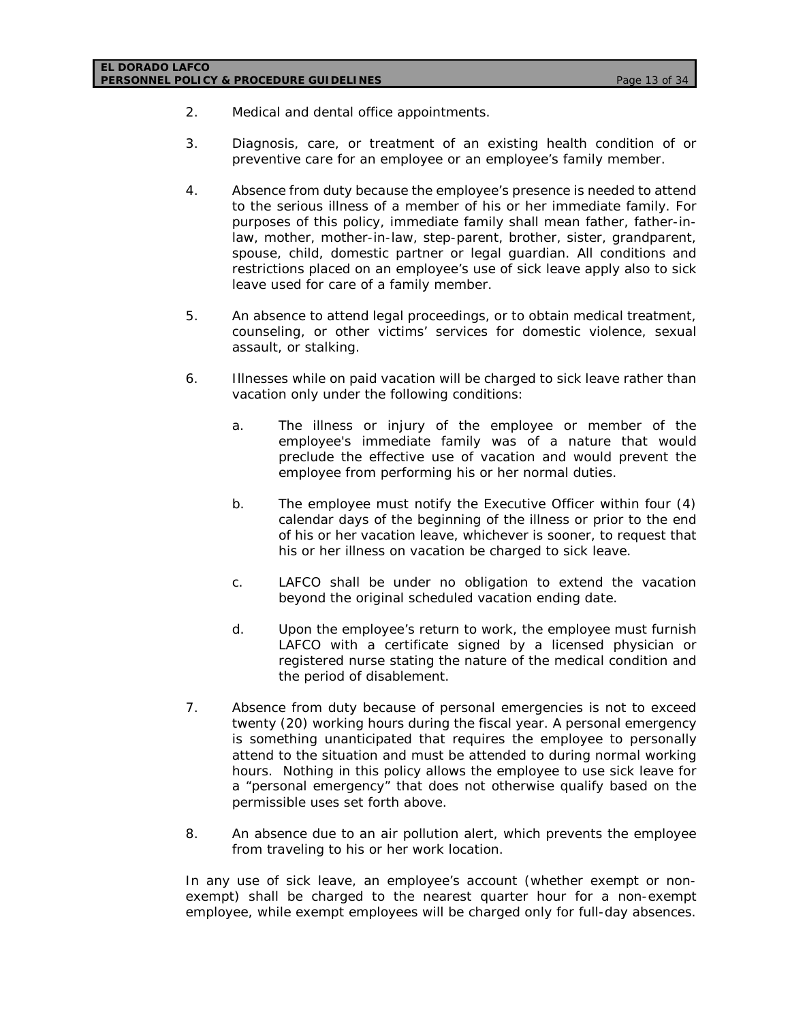### **EL DORADO LAFCO PERSONNEL POLICY & PROCEDURE GUIDELINES** *Page 13 of 34*

- 2. Medical and dental office appointments.
- 3. Diagnosis, care, or treatment of an existing health condition of or preventive care for an employee or an employee's family member.
- 4. Absence from duty because the employee's presence is needed to attend to the serious illness of a member of his or her immediate family. For purposes of this policy, immediate family shall mean father, father-inlaw, mother, mother-in-law, step-parent, brother, sister, grandparent, spouse, child, domestic partner or legal guardian. All conditions and restrictions placed on an employee's use of sick leave apply also to sick leave used for care of a family member.
- 5. An absence to attend legal proceedings, or to obtain medical treatment, counseling, or other victims' services for domestic violence, sexual assault, or stalking.
- 6. Illnesses while on paid vacation will be charged to sick leave rather than vacation only under the following conditions:
	- a. The illness or injury of the employee or member of the employee's immediate family was of a nature that would preclude the effective use of vacation and would prevent the employee from performing his or her normal duties.
	- b. The employee must notify the Executive Officer within four (4) calendar days of the beginning of the illness or prior to the end of his or her vacation leave, whichever is sooner, to request that his or her illness on vacation be charged to sick leave.
	- c. LAFCO shall be under no obligation to extend the vacation beyond the original scheduled vacation ending date.
	- d. Upon the employee's return to work, the employee must furnish LAFCO with a certificate signed by a licensed physician or registered nurse stating the nature of the medical condition and the period of disablement.
- 7. Absence from duty because of personal emergencies is not to exceed twenty (20) working hours during the fiscal year. A personal emergency is something unanticipated that requires the employee to personally attend to the situation and must be attended to during normal working hours. Nothing in this policy allows the employee to use sick leave for a "personal emergency" that does not otherwise qualify based on the permissible uses set forth above.
- 8. An absence due to an air pollution alert, which prevents the employee from traveling to his or her work location.

In any use of sick leave, an employee's account (whether exempt or nonexempt) shall be charged to the nearest quarter hour for a non-exempt employee, while exempt employees will be charged only for full-day absences.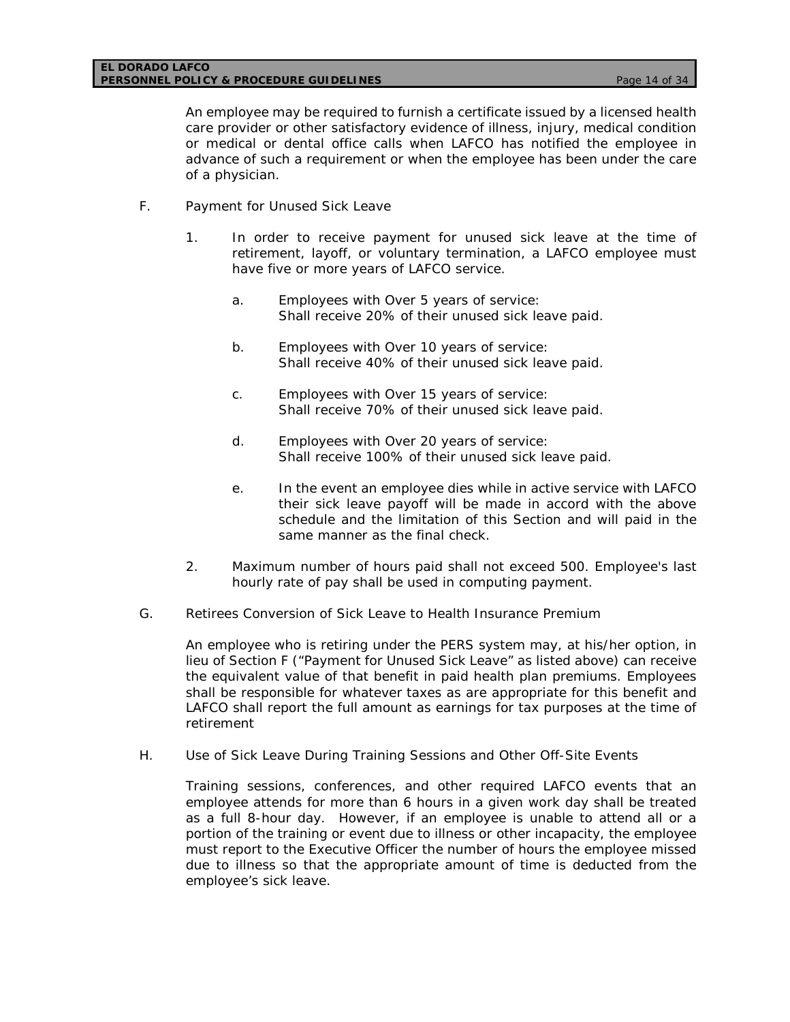An employee may be required to furnish a certificate issued by a licensed health care provider or other satisfactory evidence of illness, injury, medical condition or medical or dental office calls when LAFCO has notified the employee in advance of such a requirement or when the employee has been under the care of a physician.

- F. Payment for Unused Sick Leave
	- 1. In order to receive payment for unused sick leave at the time of retirement, layoff, or voluntary termination, a LAFCO employee must have five or more years of LAFCO service.
		- a. Employees with Over 5 years of service: Shall receive 20% of their unused sick leave paid.
		- b. Employees with Over 10 years of service: Shall receive 40% of their unused sick leave paid.
		- c. Employees with Over 15 years of service: Shall receive 70% of their unused sick leave paid.
		- d. Employees with Over 20 years of service: Shall receive 100% of their unused sick leave paid.
		- e. In the event an employee dies while in active service with LAFCO their sick leave payoff will be made in accord with the above schedule and the limitation of this Section and will paid in the same manner as the final check.
	- 2. Maximum number of hours paid shall not exceed 500. Employee's last hourly rate of pay shall be used in computing payment.
- G. Retirees Conversion of Sick Leave to Health Insurance Premium

An employee who is retiring under the PERS system may, at his/her option, in lieu of Section F ("Payment for Unused Sick Leave" as listed above) can receive the equivalent value of that benefit in paid health plan premiums. Employees shall be responsible for whatever taxes as are appropriate for this benefit and LAFCO shall report the full amount as earnings for tax purposes at the time of retirement

H. Use of Sick Leave During Training Sessions and Other Off-Site Events

Training sessions, conferences, and other required LAFCO events that an employee attends for more than 6 hours in a given work day shall be treated as a full 8-hour day. However, if an employee is unable to attend all or a portion of the training or event due to illness or other incapacity, the employee must report to the Executive Officer the number of hours the employee missed due to illness so that the appropriate amount of time is deducted from the employee's sick leave.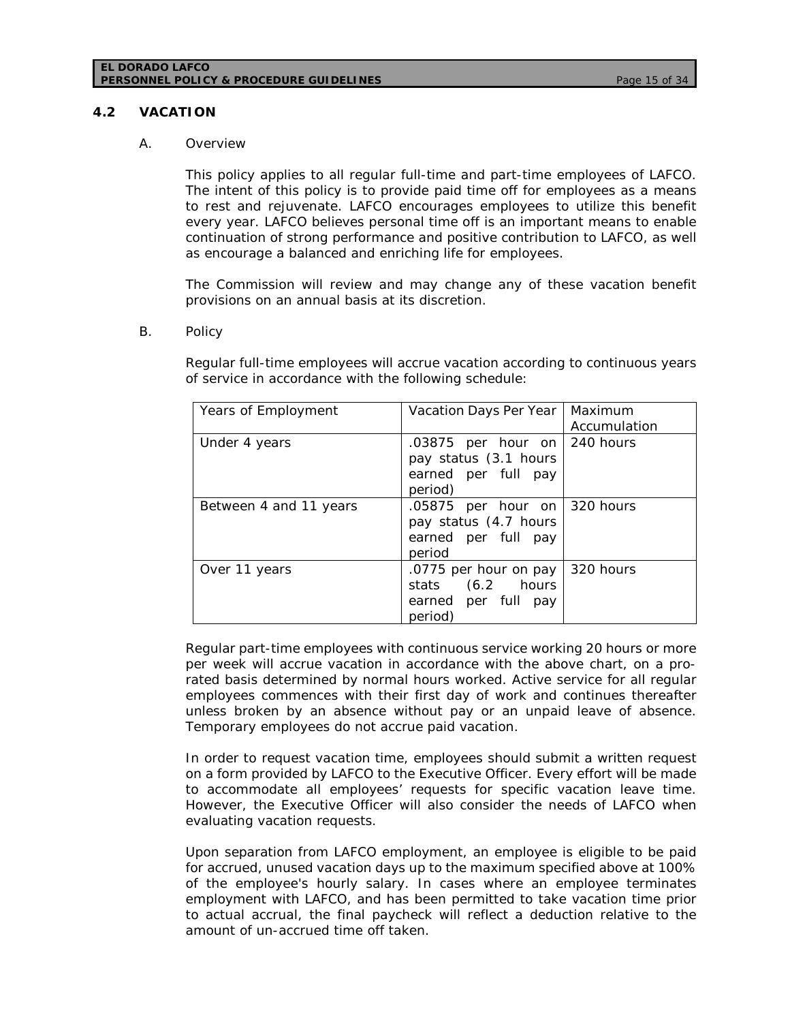#### **EL DORADO LAFCO PERSONNEL POLICY & PROCEDURE GUIDELINES** *Page 15 of 34*

### **4.2 VACATION**

#### A. Overview

This policy applies to all regular full-time and part-time employees of LAFCO. The intent of this policy is to provide paid time off for employees as a means to rest and rejuvenate. LAFCO encourages employees to utilize this benefit every year. LAFCO believes personal time off is an important means to enable continuation of strong performance and positive contribution to LAFCO, as well as encourage a balanced and enriching life for employees.

The Commission will review and may change any of these vacation benefit provisions on an annual basis at its discretion.

#### B. Policy

Regular full-time employees will accrue vacation according to continuous years of service in accordance with the following schedule:

| Years of Employment    | Vacation Days Per Year                                                                     | Maximum<br>Accumulation |
|------------------------|--------------------------------------------------------------------------------------------|-------------------------|
| Under 4 years          | .03875 per hour on $ 240$ hours<br>pay status (3.1 hours<br>earned per full pay<br>period) |                         |
| Between 4 and 11 years | $.05875$ per hour on 320 hours<br>pay status (4.7 hours<br>earned per full pay<br>period   |                         |
| Over 11 years          | .0775 per hour on pay<br>stats (6.2 hours<br>earned per full pay<br>period)                | 320 hours               |

Regular part-time employees with continuous service working 20 hours or more per week will accrue vacation in accordance with the above chart, on a prorated basis determined by normal hours worked. Active service for all regular employees commences with their first day of work and continues thereafter unless broken by an absence without pay or an unpaid leave of absence. Temporary employees do not accrue paid vacation.

In order to request vacation time, employees should submit a written request on a form provided by LAFCO to the Executive Officer. Every effort will be made to accommodate all employees' requests for specific vacation leave time. However, the Executive Officer will also consider the needs of LAFCO when evaluating vacation requests.

Upon separation from LAFCO employment, an employee is eligible to be paid for accrued, unused vacation days up to the maximum specified above at 100% of the employee's hourly salary. In cases where an employee terminates employment with LAFCO, and has been permitted to take vacation time prior to actual accrual, the final paycheck will reflect a deduction relative to the amount of un-accrued time off taken.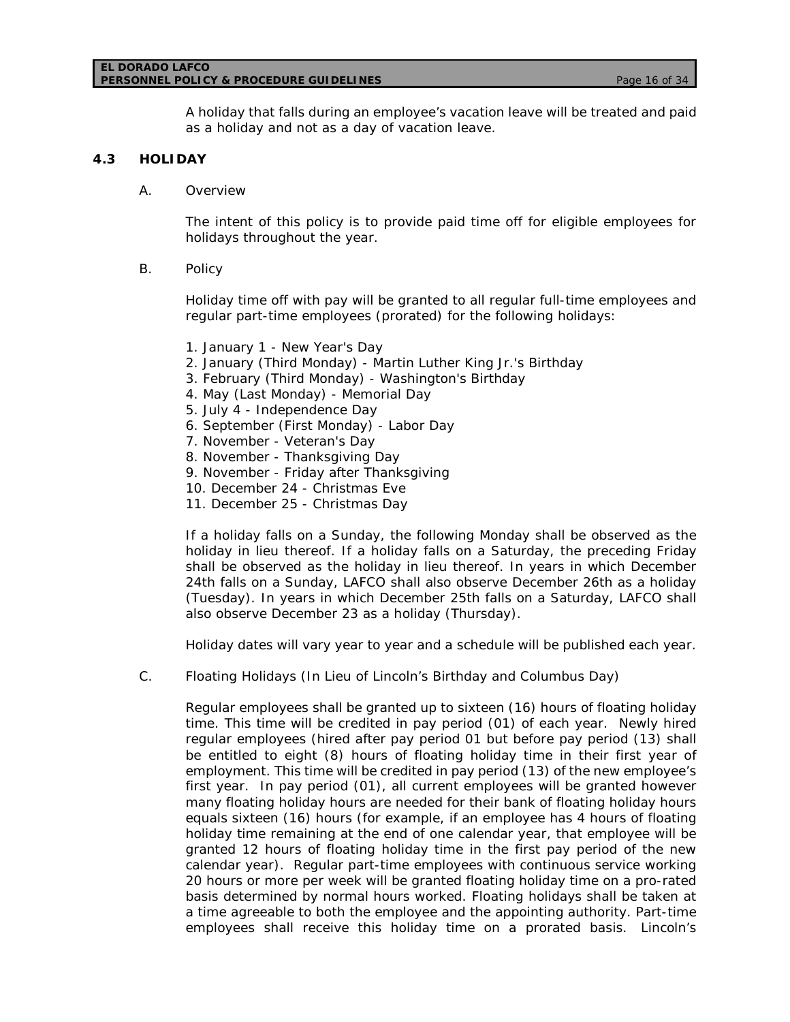#### **EL DORADO LAFCO PERSONNEL POLICY & PROCEDURE GUIDELINES** *Page 16 of 34*

A holiday that falls during an employee's vacation leave will be treated and paid as a holiday and not as a day of vacation leave.

### **4.3 HOLIDAY**

A. Overview

The intent of this policy is to provide paid time off for eligible employees for holidays throughout the year.

B. Policy

Holiday time off with pay will be granted to all regular full-time employees and regular part-time employees (prorated) for the following holidays:

- 1. January 1 New Year's Day
- 2. January (Third Monday) Martin Luther King Jr.'s Birthday
- 3. February (Third Monday) Washington's Birthday
- 4. May (Last Monday) Memorial Day
- 5. July 4 Independence Day
- 6. September (First Monday) Labor Day
- 7. November Veteran's Day
- 8. November Thanksgiving Day
- 9. November Friday after Thanksgiving
- 10. December 24 Christmas Eve
- 11. December 25 Christmas Day

If a holiday falls on a Sunday, the following Monday shall be observed as the holiday in lieu thereof. If a holiday falls on a Saturday, the preceding Friday shall be observed as the holiday in lieu thereof. In years in which December 24th falls on a Sunday, LAFCO shall also observe December 26th as a holiday (Tuesday). In years in which December 25th falls on a Saturday, LAFCO shall also observe December 23 as a holiday (Thursday).

Holiday dates will vary year to year and a schedule will be published each year.

C. Floating Holidays (In Lieu of Lincoln's Birthday and Columbus Day)

Regular employees shall be granted up to sixteen (16) hours of floating holiday time. This time will be credited in pay period (01) of each year. Newly hired regular employees (hired after pay period 01 but before pay period (13) shall be entitled to eight (8) hours of floating holiday time in their first year of employment. This time will be credited in pay period (13) of the new employee's first year. In pay period (01), all current employees will be granted however many floating holiday hours are needed for their bank of floating holiday hours equals sixteen (16) hours (for example, if an employee has 4 hours of floating holiday time remaining at the end of one calendar year, that employee will be granted 12 hours of floating holiday time in the first pay period of the new calendar year). Regular part-time employees with continuous service working 20 hours or more per week will be granted floating holiday time on a pro-rated basis determined by normal hours worked. Floating holidays shall be taken at a time agreeable to both the employee and the appointing authority. Part-time employees shall receive this holiday time on a prorated basis. Lincoln's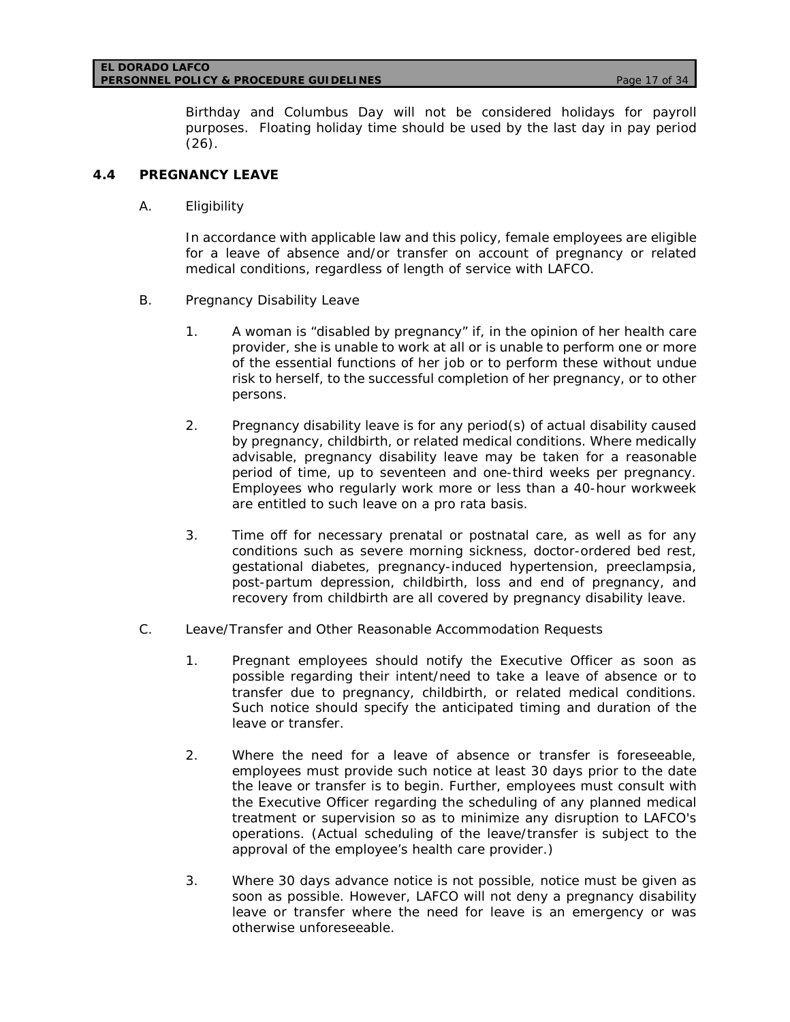#### **EL DORADO LAFCO PERSONNEL POLICY & PROCEDURE GUIDELINES** *Page 17 of 34*

Birthday and Columbus Day will not be considered holidays for payroll purposes. Floating holiday time should be used by the last day in pay period (26).

## **4.4 PREGNANCY LEAVE**

A. Eligibility

In accordance with applicable law and this policy, female employees are eligible for a leave of absence and/or transfer on account of pregnancy or related medical conditions, regardless of length of service with LAFCO.

- B. Pregnancy Disability Leave
	- 1. A woman is "disabled by pregnancy" if, in the opinion of her health care provider, she is unable to work at all or is unable to perform one or more of the essential functions of her job or to perform these without undue risk to herself, to the successful completion of her pregnancy, or to other persons.
	- 2. Pregnancy disability leave is for any period(s) of actual disability caused by pregnancy, childbirth, or related medical conditions. Where medically advisable, pregnancy disability leave may be taken for a reasonable period of time, up to seventeen and one-third weeks per pregnancy. Employees who regularly work more or less than a 40-hour workweek are entitled to such leave on a pro rata basis.
	- 3. Time off for necessary prenatal or postnatal care, as well as for any conditions such as severe morning sickness, doctor-ordered bed rest, gestational diabetes, pregnancy-induced hypertension, preeclampsia, post-partum depression, childbirth, loss and end of pregnancy, and recovery from childbirth are all covered by pregnancy disability leave.
- C. Leave/Transfer and Other Reasonable Accommodation Requests
	- 1. Pregnant employees should notify the Executive Officer as soon as possible regarding their intent/need to take a leave of absence or to transfer due to pregnancy, childbirth, or related medical conditions. Such notice should specify the anticipated timing and duration of the leave or transfer.
	- 2. Where the need for a leave of absence or transfer is foreseeable, employees must provide such notice at least 30 days prior to the date the leave or transfer is to begin. Further, employees must consult with the Executive Officer regarding the scheduling of any planned medical treatment or supervision so as to minimize any disruption to LAFCO's operations. (Actual scheduling of the leave/transfer is subject to the approval of the employee's health care provider.)
	- 3. Where 30 days advance notice is not possible, notice must be given as soon as possible. However, LAFCO will not deny a pregnancy disability leave or transfer where the need for leave is an emergency or was otherwise unforeseeable.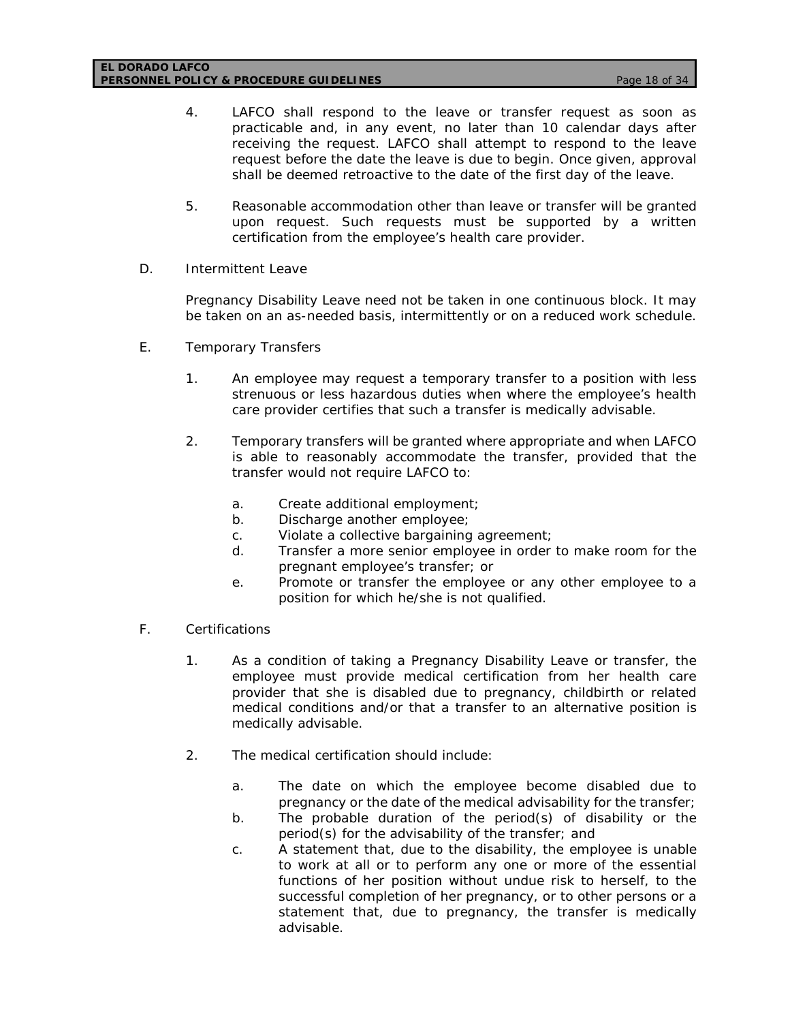#### **EL DORADO LAFCO PERSONNEL POLICY & PROCEDURE GUIDELINES** *Page 18 of 34*

- 4. LAFCO shall respond to the leave or transfer request as soon as practicable and, in any event, no later than 10 calendar days after receiving the request. LAFCO shall attempt to respond to the leave request before the date the leave is due to begin. Once given, approval shall be deemed retroactive to the date of the first day of the leave.
- 5. Reasonable accommodation other than leave or transfer will be granted upon request. Such requests must be supported by a written certification from the employee's health care provider.
- D. Intermittent Leave

Pregnancy Disability Leave need not be taken in one continuous block. It may be taken on an as-needed basis, intermittently or on a reduced work schedule.

- E. Temporary Transfers
	- 1. An employee may request a temporary transfer to a position with less strenuous or less hazardous duties when where the employee's health care provider certifies that such a transfer is medically advisable.
	- 2. Temporary transfers will be granted where appropriate and when LAFCO is able to reasonably accommodate the transfer, provided that the transfer would not require LAFCO to:
		- a. Create additional employment;
		- b. Discharge another employee;
		- c. Violate a collective bargaining agreement;
		- d. Transfer a more senior employee in order to make room for the pregnant employee's transfer; or
		- e. Promote or transfer the employee or any other employee to a position for which he/she is not qualified.
- F. Certifications
	- 1. As a condition of taking a Pregnancy Disability Leave or transfer, the employee must provide medical certification from her health care provider that she is disabled due to pregnancy, childbirth or related medical conditions and/or that a transfer to an alternative position is medically advisable.
	- 2. The medical certification should include:
		- a. The date on which the employee become disabled due to pregnancy or the date of the medical advisability for the transfer;
		- b. The probable duration of the period(s) of disability or the period(s) for the advisability of the transfer; and
		- c. A statement that, due to the disability, the employee is unable to work at all or to perform any one or more of the essential functions of her position without undue risk to herself, to the successful completion of her pregnancy, or to other persons or a statement that, due to pregnancy, the transfer is medically advisable.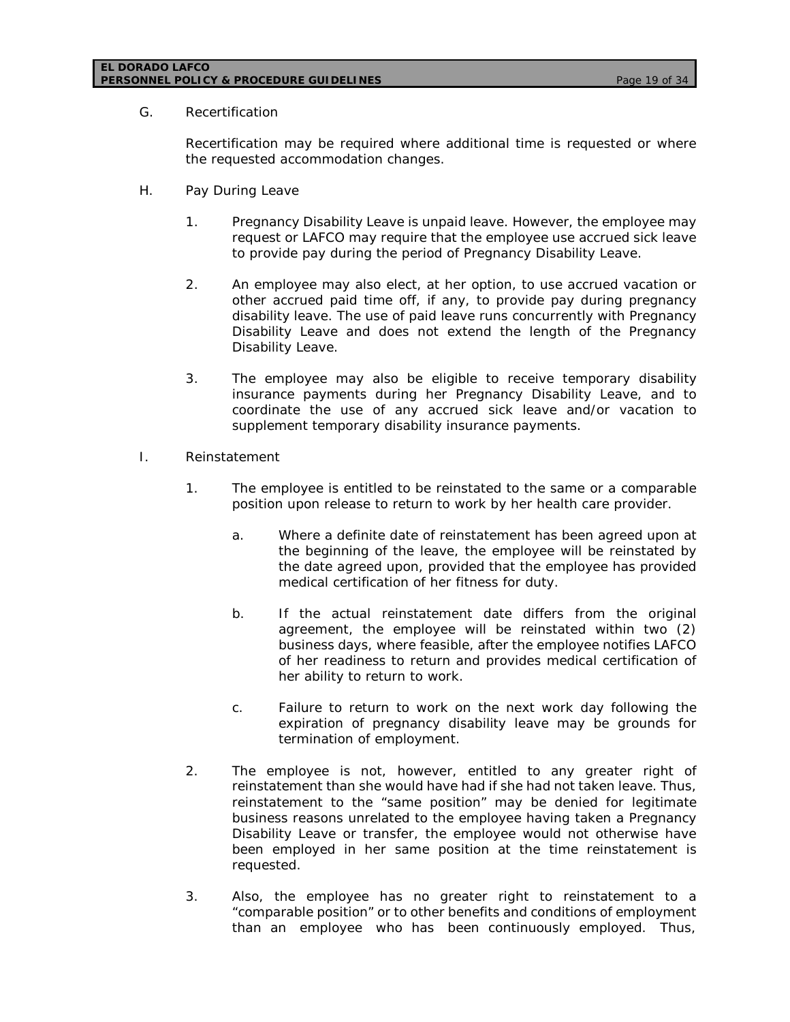### **EL DORADO LAFCO PERSONNEL POLICY & PROCEDURE GUIDELINES** *Page 19 of 34*

### G. Recertification

Recertification may be required where additional time is requested or where the requested accommodation changes.

- H. Pay During Leave
	- 1. Pregnancy Disability Leave is unpaid leave. However, the employee may request or LAFCO may require that the employee use accrued sick leave to provide pay during the period of Pregnancy Disability Leave.
	- 2. An employee may also elect, at her option, to use accrued vacation or other accrued paid time off, if any, to provide pay during pregnancy disability leave. The use of paid leave runs concurrently with Pregnancy Disability Leave and does not extend the length of the Pregnancy Disability Leave.
	- 3. The employee may also be eligible to receive temporary disability insurance payments during her Pregnancy Disability Leave, and to coordinate the use of any accrued sick leave and/or vacation to supplement temporary disability insurance payments.
- I. Reinstatement
	- 1. The employee is entitled to be reinstated to the same or a comparable position upon release to return to work by her health care provider.
		- a. Where a definite date of reinstatement has been agreed upon at the beginning of the leave, the employee will be reinstated by the date agreed upon, provided that the employee has provided medical certification of her fitness for duty.
		- b. If the actual reinstatement date differs from the original agreement, the employee will be reinstated within two (2) business days, where feasible, after the employee notifies LAFCO of her readiness to return and provides medical certification of her ability to return to work.
		- c. Failure to return to work on the next work day following the expiration of pregnancy disability leave may be grounds for termination of employment.
	- 2. The employee is not, however, entitled to any greater right of reinstatement than she would have had if she had not taken leave. Thus, reinstatement to the "same position" may be denied for legitimate business reasons unrelated to the employee having taken a Pregnancy Disability Leave or transfer, the employee would not otherwise have been employed in her same position at the time reinstatement is requested.
	- 3. Also, the employee has no greater right to reinstatement to a "comparable position" or to other benefits and conditions of employment than an employee who has been continuously employed. Thus,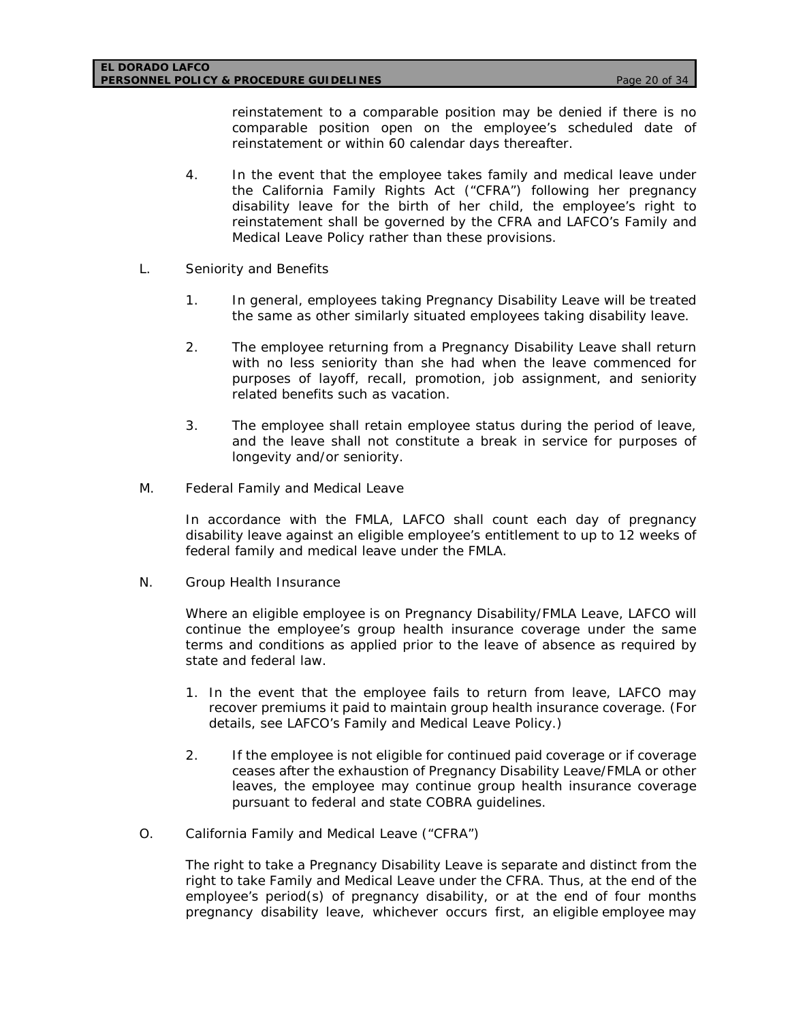reinstatement to a comparable position may be denied if there is no comparable position open on the employee's scheduled date of reinstatement or within 60 calendar days thereafter.

- 4. In the event that the employee takes family and medical leave under the California Family Rights Act ("CFRA") following her pregnancy disability leave for the birth of her child, the employee's right to reinstatement shall be governed by the CFRA and LAFCO's Family and Medical Leave Policy rather than these provisions.
- L. Seniority and Benefits
	- 1. In general, employees taking Pregnancy Disability Leave will be treated the same as other similarly situated employees taking disability leave.
	- 2. The employee returning from a Pregnancy Disability Leave shall return with no less seniority than she had when the leave commenced for purposes of layoff, recall, promotion, job assignment, and seniority related benefits such as vacation.
	- 3. The employee shall retain employee status during the period of leave, and the leave shall not constitute a break in service for purposes of longevity and/or seniority.
- M. Federal Family and Medical Leave

In accordance with the FMLA, LAFCO shall count each day of pregnancy disability leave against an eligible employee's entitlement to up to 12 weeks of federal family and medical leave under the FMLA.

N. Group Health Insurance

Where an eligible employee is on Pregnancy Disability/FMLA Leave, LAFCO will continue the employee's group health insurance coverage under the same terms and conditions as applied prior to the leave of absence as required by state and federal law.

- 1. In the event that the employee fails to return from leave, LAFCO may recover premiums it paid to maintain group health insurance coverage. (For details, see LAFCO's Family and Medical Leave Policy.)
- 2. If the employee is not eligible for continued paid coverage or if coverage ceases after the exhaustion of Pregnancy Disability Leave/FMLA or other leaves, the employee may continue group health insurance coverage pursuant to federal and state COBRA guidelines.
- O. California Family and Medical Leave ("CFRA")

The right to take a Pregnancy Disability Leave is separate and distinct from the right to take Family and Medical Leave under the CFRA. Thus, at the end of the employee's period(s) of pregnancy disability, or at the end of four months pregnancy disability leave, whichever occurs first, an eligible employee may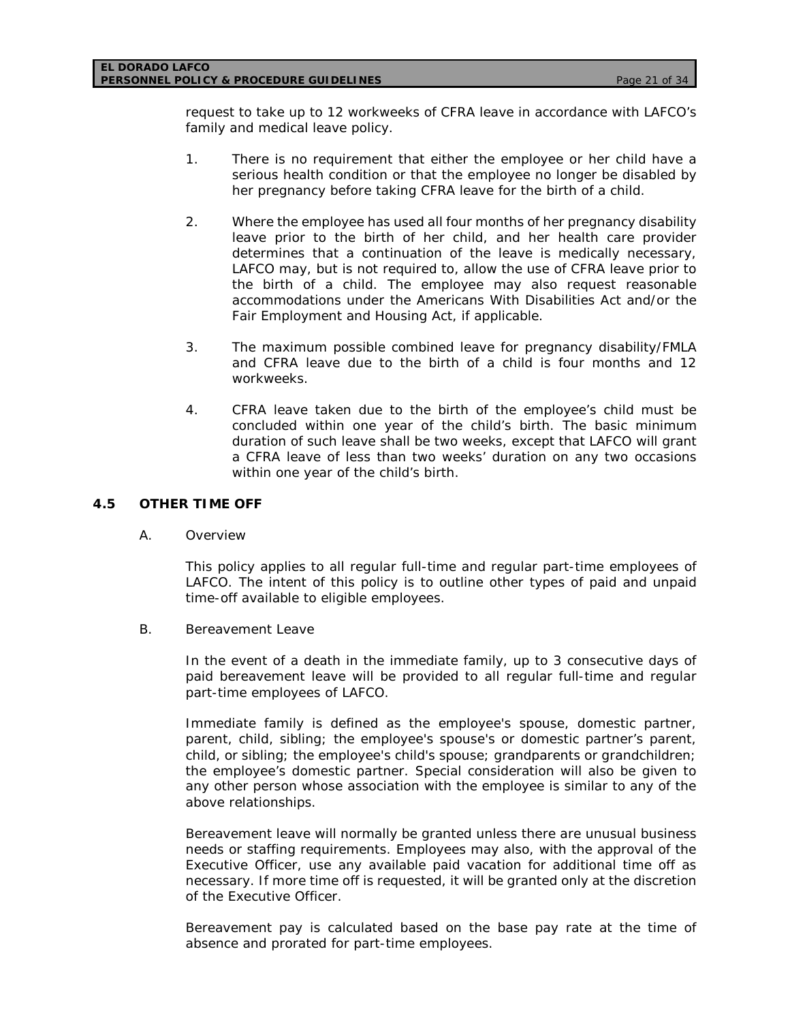request to take up to 12 workweeks of CFRA leave in accordance with LAFCO's family and medical leave policy.

- 1. There is no requirement that either the employee or her child have a serious health condition or that the employee no longer be disabled by her pregnancy before taking CFRA leave for the birth of a child.
- 2. Where the employee has used all four months of her pregnancy disability leave prior to the birth of her child, and her health care provider determines that a continuation of the leave is medically necessary, LAFCO may, but is not required to, allow the use of CFRA leave prior to the birth of a child. The employee may also request reasonable accommodations under the Americans With Disabilities Act and/or the Fair Employment and Housing Act, if applicable.
- 3. The maximum possible combined leave for pregnancy disability/FMLA and CFRA leave due to the birth of a child is four months and 12 workweeks.
- 4. CFRA leave taken due to the birth of the employee's child must be concluded within one year of the child's birth. The basic minimum duration of such leave shall be two weeks, except that LAFCO will grant a CFRA leave of less than two weeks' duration on any two occasions within one year of the child's birth.

### **4.5 OTHER TIME OFF**

A. Overview

This policy applies to all regular full-time and regular part-time employees of LAFCO. The intent of this policy is to outline other types of paid and unpaid time-off available to eligible employees.

B. Bereavement Leave

In the event of a death in the immediate family, up to 3 consecutive days of paid bereavement leave will be provided to all regular full-time and regular part-time employees of LAFCO.

Immediate family is defined as the employee's spouse, domestic partner, parent, child, sibling; the employee's spouse's or domestic partner's parent, child, or sibling; the employee's child's spouse; grandparents or grandchildren; the employee's domestic partner. Special consideration will also be given to any other person whose association with the employee is similar to any of the above relationships.

Bereavement leave will normally be granted unless there are unusual business needs or staffing requirements. Employees may also, with the approval of the Executive Officer, use any available paid vacation for additional time off as necessary. If more time off is requested, it will be granted only at the discretion of the Executive Officer.

Bereavement pay is calculated based on the base pay rate at the time of absence and prorated for part-time employees.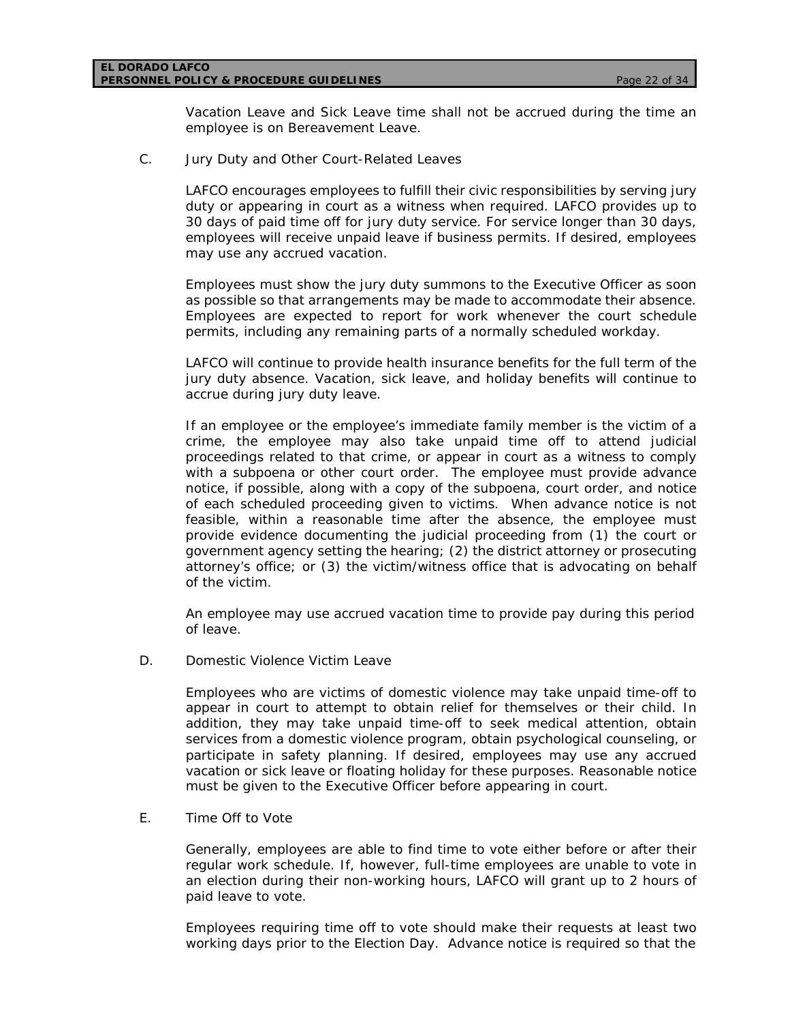Vacation Leave and Sick Leave time shall not be accrued during the time an employee is on Bereavement Leave.

C. Jury Duty and Other Court-Related Leaves

LAFCO encourages employees to fulfill their civic responsibilities by serving jury duty or appearing in court as a witness when required. LAFCO provides up to 30 days of paid time off for jury duty service. For service longer than 30 days, employees will receive unpaid leave if business permits. If desired, employees may use any accrued vacation.

Employees must show the jury duty summons to the Executive Officer as soon as possible so that arrangements may be made to accommodate their absence. Employees are expected to report for work whenever the court schedule permits, including any remaining parts of a normally scheduled workday.

LAFCO will continue to provide health insurance benefits for the full term of the jury duty absence. Vacation, sick leave, and holiday benefits will continue to accrue during jury duty leave.

If an employee or the employee's immediate family member is the victim of a crime, the employee may also take unpaid time off to attend judicial proceedings related to that crime, or appear in court as a witness to comply with a subpoena or other court order. The employee must provide advance notice, if possible, along with a copy of the subpoena, court order, and notice of each scheduled proceeding given to victims. When advance notice is not feasible, within a reasonable time after the absence, the employee must provide evidence documenting the judicial proceeding from (1) the court or government agency setting the hearing; (2) the district attorney or prosecuting attorney's office; or (3) the victim/witness office that is advocating on behalf of the victim.

An employee may use accrued vacation time to provide pay during this period of leave.

D. Domestic Violence Victim Leave

Employees who are victims of domestic violence may take unpaid time-off to appear in court to attempt to obtain relief for themselves or their child. In addition, they may take unpaid time-off to seek medical attention, obtain services from a domestic violence program, obtain psychological counseling, or participate in safety planning. If desired, employees may use any accrued vacation or sick leave or floating holiday for these purposes. Reasonable notice must be given to the Executive Officer before appearing in court.

E. Time Off to Vote

Generally, employees are able to find time to vote either before or after their regular work schedule. If, however, full-time employees are unable to vote in an election during their non-working hours, LAFCO will grant up to 2 hours of paid leave to vote.

Employees requiring time off to vote should make their requests at least two working days prior to the Election Day. Advance notice is required so that the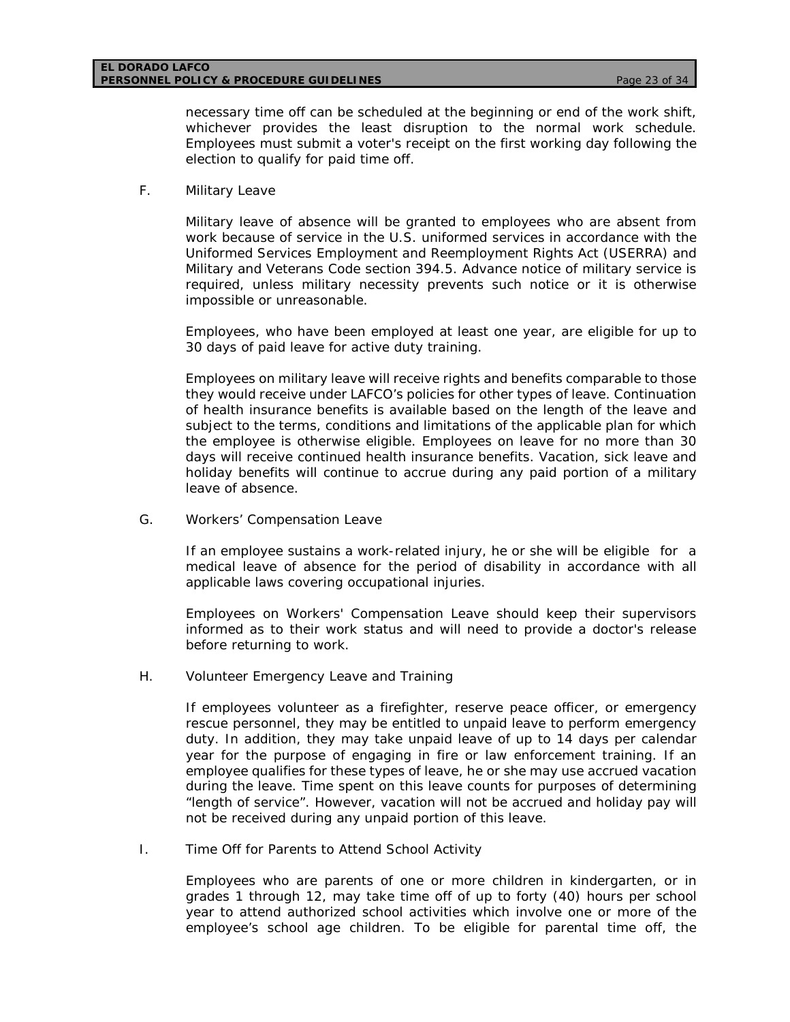necessary time off can be scheduled at the beginning or end of the work shift, whichever provides the least disruption to the normal work schedule. Employees must submit a voter's receipt on the first working day following the election to qualify for paid time off.

### F. Military Leave

Military leave of absence will be granted to employees who are absent from work because of service in the U.S. uniformed services in accordance with the Uniformed Services Employment and Reemployment Rights Act (USERRA) and Military and Veterans Code section 394.5. Advance notice of military service is required, unless military necessity prevents such notice or it is otherwise impossible or unreasonable.

Employees, who have been employed at least one year, are eligible for up to 30 days of paid leave for active duty training.

Employees on military leave will receive rights and benefits comparable to those they would receive under LAFCO's policies for other types of leave. Continuation of health insurance benefits is available based on the length of the leave and subject to the terms, conditions and limitations of the applicable plan for which the employee is otherwise eligible. Employees on leave for no more than 30 days will receive continued health insurance benefits. Vacation, sick leave and holiday benefits will continue to accrue during any paid portion of a military leave of absence.

G. Workers' Compensation Leave

If an employee sustains a work-related injury, he or she will be eligible for a medical leave of absence for the period of disability in accordance with all applicable laws covering occupational injuries.

Employees on Workers' Compensation Leave should keep their supervisors informed as to their work status and will need to provide a doctor's release before returning to work.

H. Volunteer Emergency Leave and Training

If employees volunteer as a firefighter, reserve peace officer, or emergency rescue personnel, they may be entitled to unpaid leave to perform emergency duty. In addition, they may take unpaid leave of up to 14 days per calendar year for the purpose of engaging in fire or law enforcement training. If an employee qualifies for these types of leave, he or she may use accrued vacation during the leave. Time spent on this leave counts for purposes of determining "length of service". However, vacation will not be accrued and holiday pay will not be received during any unpaid portion of this leave.

I. Time Off for Parents to Attend School Activity

Employees who are parents of one or more children in kindergarten, or in grades 1 through 12, may take time off of up to forty (40) hours per school year to attend authorized school activities which involve one or more of the employee's school age children. To be eligible for parental time off, the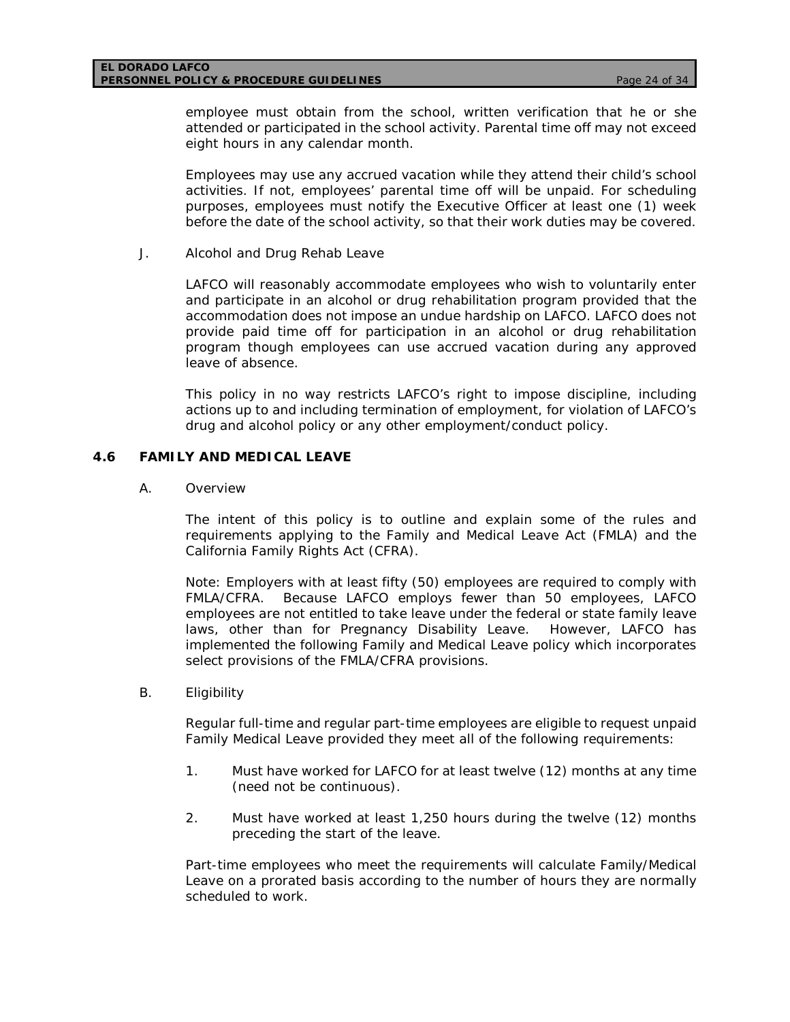employee must obtain from the school, written verification that he or she attended or participated in the school activity. Parental time off may not exceed eight hours in any calendar month.

Employees may use any accrued vacation while they attend their child's school activities. If not, employees' parental time off will be unpaid. For scheduling purposes, employees must notify the Executive Officer at least one (1) week before the date of the school activity, so that their work duties may be covered.

J. Alcohol and Drug Rehab Leave

LAFCO will reasonably accommodate employees who wish to voluntarily enter and participate in an alcohol or drug rehabilitation program provided that the accommodation does not impose an undue hardship on LAFCO. LAFCO does not provide paid time off for participation in an alcohol or drug rehabilitation program though employees can use accrued vacation during any approved leave of absence.

This policy in no way restricts LAFCO's right to impose discipline, including actions up to and including termination of employment, for violation of LAFCO's drug and alcohol policy or any other employment/conduct policy.

### **4.6 FAMILY AND MEDICAL LEAVE**

A. Overview

The intent of this policy is to outline and explain some of the rules and requirements applying to the Family and Medical Leave Act (FMLA) and the California Family Rights Act (CFRA).

Note: Employers with at least fifty (50) employees are required to comply with FMLA/CFRA. Because LAFCO employs fewer than 50 employees, LAFCO employees are not entitled to take leave under the federal or state family leave laws, other than for Pregnancy Disability Leave. However, LAFCO has implemented the following Family and Medical Leave policy which incorporates select provisions of the FMLA/CFRA provisions.

B. Eligibility

Regular full-time and regular part-time employees are eligible to request unpaid Family Medical Leave provided they meet all of the following requirements:

- 1. Must have worked for LAFCO for at least twelve (12) months at any time (need not be continuous).
- 2. Must have worked at least 1,250 hours during the twelve (12) months preceding the start of the leave.

Part-time employees who meet the requirements will calculate Family/Medical Leave on a prorated basis according to the number of hours they are normally scheduled to work.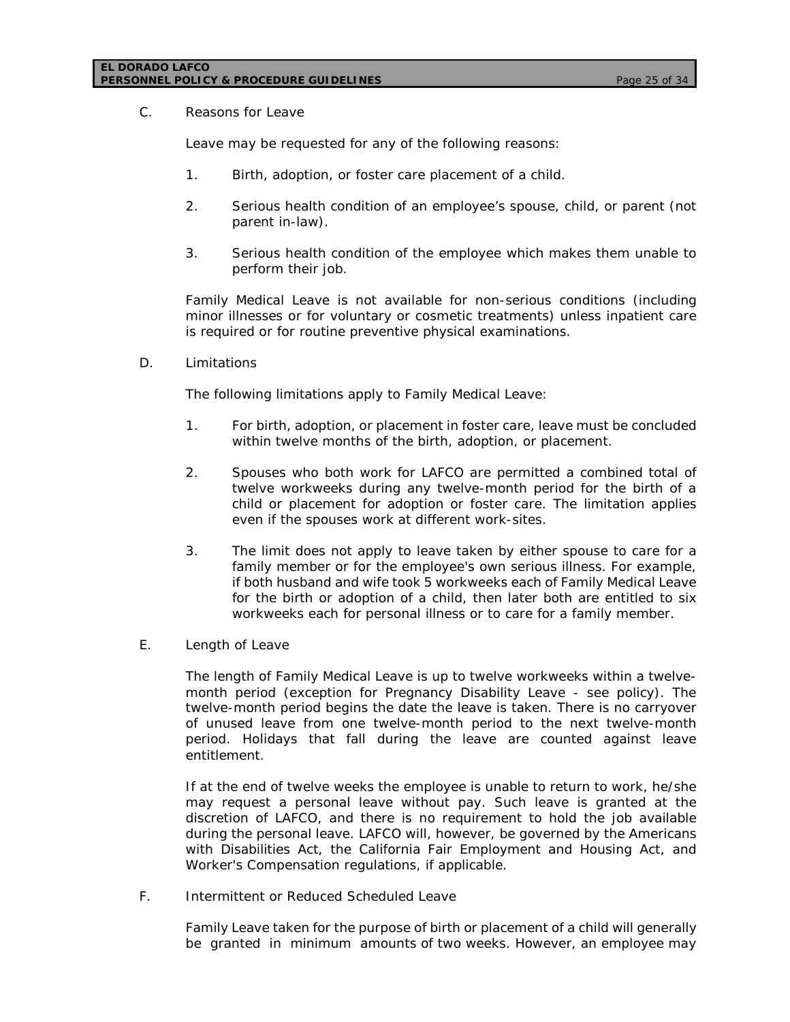### **EL DORADO LAFCO PERSONNEL POLICY & PROCEDURE GUIDELINES** *Page 25 of 34*

C. Reasons for Leave

Leave may be requested for any of the following reasons:

- 1. Birth, adoption, or foster care placement of a child.
- 2. Serious health condition of an employee's spouse, child, or parent (not parent in-law).
- 3. Serious health condition of the employee which makes them unable to perform their job.

Family Medical Leave is not available for non-serious conditions (including minor illnesses or for voluntary or cosmetic treatments) unless inpatient care is required or for routine preventive physical examinations.

D. Limitations

The following limitations apply to Family Medical Leave:

- 1. For birth, adoption, or placement in foster care, leave must be concluded within twelve months of the birth, adoption, or placement.
- 2. Spouses who both work for LAFCO are permitted a combined total of twelve workweeks during any twelve-month period for the birth of a child or placement for adoption or foster care. The limitation applies even if the spouses work at different work-sites.
- 3. The limit does not apply to leave taken by either spouse to care for a family member or for the employee's own serious illness. For example, if both husband and wife took 5 workweeks each of Family Medical Leave for the birth or adoption of a child, then later both are entitled to six workweeks each for personal illness or to care for a family member.
- E. Length of Leave

The length of Family Medical Leave is up to twelve workweeks within a twelvemonth period (exception for Pregnancy Disability Leave - see policy). The twelve-month period begins the date the leave is taken. There is no carryover of unused leave from one twelve-month period to the next twelve-month period. Holidays that fall during the leave are counted against leave entitlement.

If at the end of twelve weeks the employee is unable to return to work, he/she may request a personal leave without pay. Such leave is granted at the discretion of LAFCO, and there is no requirement to hold the job available during the personal leave. LAFCO will, however, be governed by the Americans with Disabilities Act, the California Fair Employment and Housing Act, and Worker's Compensation regulations, if applicable.

F. Intermittent or Reduced Scheduled Leave

Family Leave taken for the purpose of birth or placement of a child will generally be granted in minimum amounts of two weeks. However, an employee may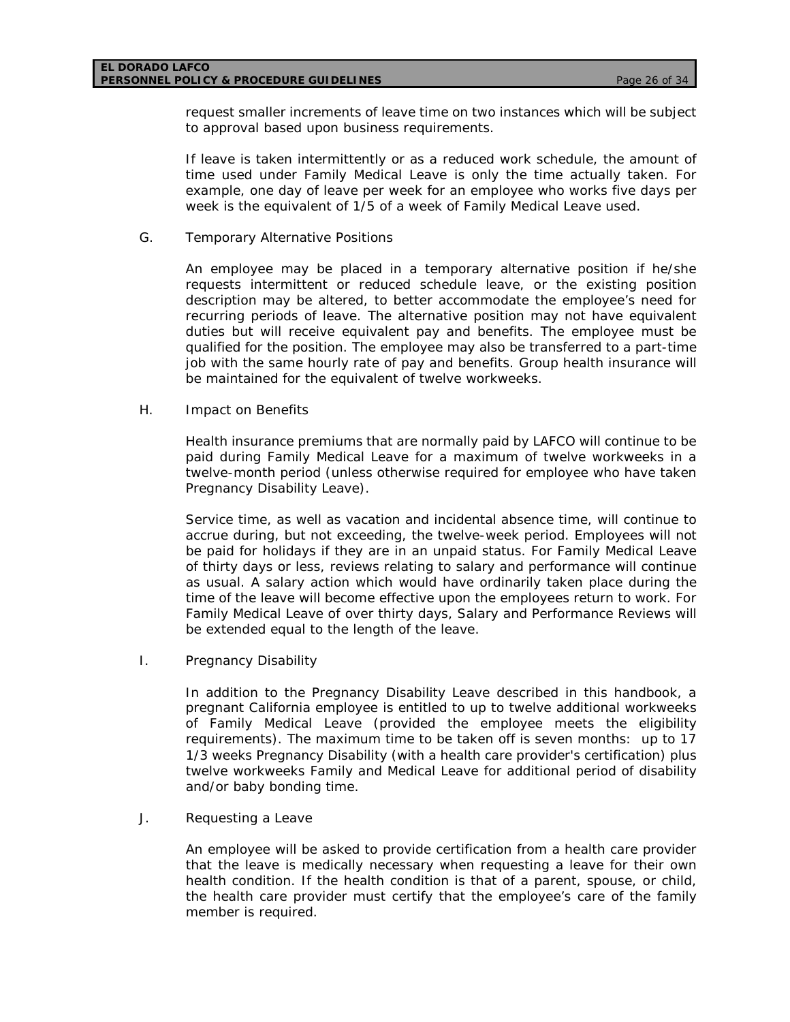request smaller increments of leave time on two instances which will be subject to approval based upon business requirements.

If leave is taken intermittently or as a reduced work schedule, the amount of time used under Family Medical Leave is only the time actually taken. For example, one day of leave per week for an employee who works five days per week is the equivalent of 1/5 of a week of Family Medical Leave used.

G. Temporary Alternative Positions

An employee may be placed in a temporary alternative position if he/she requests intermittent or reduced schedule leave, or the existing position description may be altered, to better accommodate the employee's need for recurring periods of leave. The alternative position may not have equivalent duties but will receive equivalent pay and benefits. The employee must be qualified for the position. The employee may also be transferred to a part-time job with the same hourly rate of pay and benefits. Group health insurance will be maintained for the equivalent of twelve workweeks.

H. Impact on Benefits

Health insurance premiums that are normally paid by LAFCO will continue to be paid during Family Medical Leave for a maximum of twelve workweeks in a twelve-month period (unless otherwise required for employee who have taken Pregnancy Disability Leave).

Service time, as well as vacation and incidental absence time, will continue to accrue during, but not exceeding, the twelve-week period. Employees will not be paid for holidays if they are in an unpaid status. For Family Medical Leave of thirty days or less, reviews relating to salary and performance will continue as usual. A salary action which would have ordinarily taken place during the time of the leave will become effective upon the employees return to work. For Family Medical Leave of over thirty days, Salary and Performance Reviews will be extended equal to the length of the leave.

I. Pregnancy Disability

In addition to the Pregnancy Disability Leave described in this handbook, a pregnant California employee is entitled to up to twelve additional workweeks of Family Medical Leave (provided the employee meets the eligibility requirements). The maximum time to be taken off is seven months: up to 17 1/3 weeks Pregnancy Disability (with a health care provider's certification) plus twelve workweeks Family and Medical Leave for additional period of disability and/or baby bonding time.

J. Requesting a Leave

An employee will be asked to provide certification from a health care provider that the leave is medically necessary when requesting a leave for their own health condition. If the health condition is that of a parent, spouse, or child, the health care provider must certify that the employee's care of the family member is required.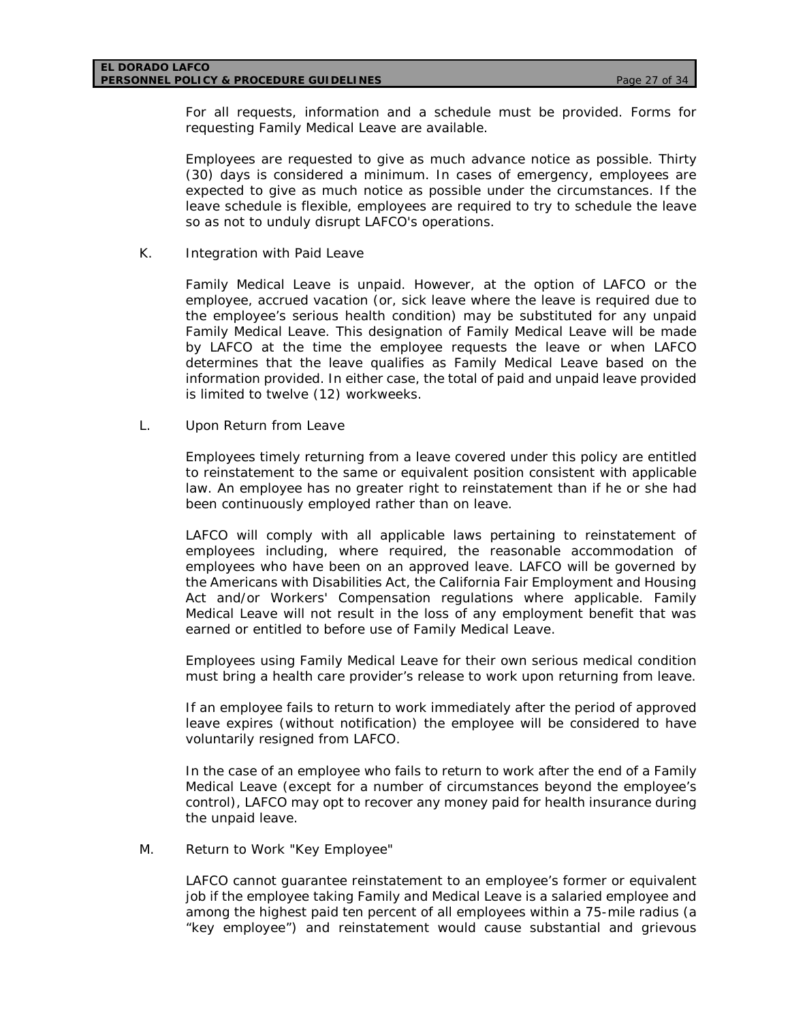For all requests, information and a schedule must be provided. Forms for requesting Family Medical Leave are available.

Employees are requested to give as much advance notice as possible. Thirty (30) days is considered a minimum. In cases of emergency, employees are expected to give as much notice as possible under the circumstances. If the leave schedule is flexible, employees are required to try to schedule the leave so as not to unduly disrupt LAFCO's operations.

K. Integration with Paid Leave

Family Medical Leave is unpaid. However, at the option of LAFCO or the employee, accrued vacation (or, sick leave where the leave is required due to the employee's serious health condition) may be substituted for any unpaid Family Medical Leave. This designation of Family Medical Leave will be made by LAFCO at the time the employee requests the leave or when LAFCO determines that the leave qualifies as Family Medical Leave based on the information provided. In either case, the total of paid and unpaid leave provided is limited to twelve (12) workweeks.

L. Upon Return from Leave

Employees timely returning from a leave covered under this policy are entitled to reinstatement to the same or equivalent position consistent with applicable law. An employee has no greater right to reinstatement than if he or she had been continuously employed rather than on leave.

LAFCO will comply with all applicable laws pertaining to reinstatement of employees including, where required, the reasonable accommodation of employees who have been on an approved leave. LAFCO will be governed by the Americans with Disabilities Act, the California Fair Employment and Housing Act and/or Workers' Compensation regulations where applicable. Family Medical Leave will not result in the loss of any employment benefit that was earned or entitled to before use of Family Medical Leave.

Employees using Family Medical Leave for their own serious medical condition must bring a health care provider's release to work upon returning from leave.

If an employee fails to return to work immediately after the period of approved leave expires (without notification) the employee will be considered to have voluntarily resigned from LAFCO.

In the case of an employee who fails to return to work after the end of a Family Medical Leave (except for a number of circumstances beyond the employee's control), LAFCO may opt to recover any money paid for health insurance during the unpaid leave.

M. Return to Work "Key Employee"

LAFCO cannot guarantee reinstatement to an employee's former or equivalent job if the employee taking Family and Medical Leave is a salaried employee and among the highest paid ten percent of all employees within a 75-mile radius (a "key employee") and reinstatement would cause substantial and grievous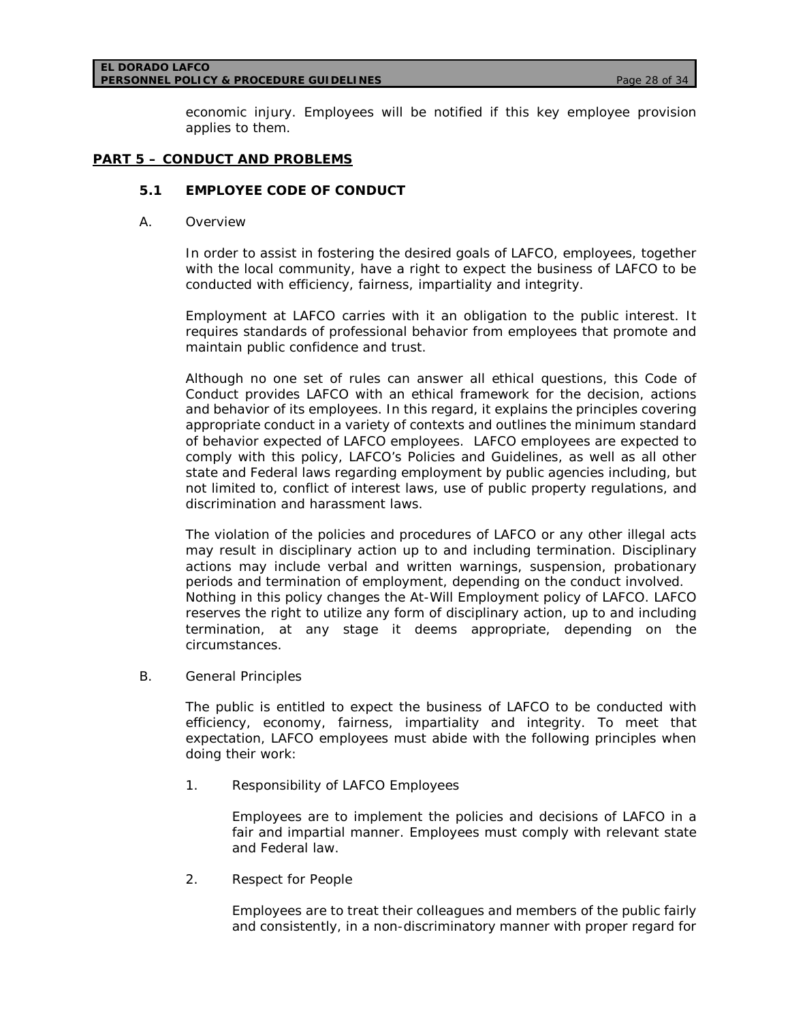#### **EL DORADO LAFCO PERSONNEL POLICY & PROCEDURE GUIDELINES** *Page 28 of 34*

economic injury. Employees will be notified if this key employee provision applies to them.

### **PART 5 – CONDUCT AND PROBLEMS**

### **5.1 EMPLOYEE CODE OF CONDUCT**

A. Overview

In order to assist in fostering the desired goals of LAFCO, employees, together with the local community, have a right to expect the business of LAFCO to be conducted with efficiency, fairness, impartiality and integrity.

Employment at LAFCO carries with it an obligation to the public interest. It requires standards of professional behavior from employees that promote and maintain public confidence and trust.

Although no one set of rules can answer all ethical questions, this Code of Conduct provides LAFCO with an ethical framework for the decision, actions and behavior of its employees. In this regard, it explains the principles covering appropriate conduct in a variety of contexts and outlines the minimum standard of behavior expected of LAFCO employees. LAFCO employees are expected to comply with this policy, LAFCO's Policies and Guidelines, as well as all other state and Federal laws regarding employment by public agencies including, but not limited to, conflict of interest laws, use of public property regulations, and discrimination and harassment laws.

The violation of the policies and procedures of LAFCO or any other illegal acts may result in disciplinary action up to and including termination. Disciplinary actions may include verbal and written warnings, suspension, probationary periods and termination of employment, depending on the conduct involved. Nothing in this policy changes the At-Will Employment policy of LAFCO. LAFCO reserves the right to utilize any form of disciplinary action, up to and including termination, at any stage it deems appropriate, depending on the circumstances.

B. General Principles

The public is entitled to expect the business of LAFCO to be conducted with efficiency, economy, fairness, impartiality and integrity. To meet that expectation, LAFCO employees must abide with the following principles when doing their work:

1. Responsibility of LAFCO Employees

Employees are to implement the policies and decisions of LAFCO in a fair and impartial manner. Employees must comply with relevant state and Federal law.

2. Respect for People

Employees are to treat their colleagues and members of the public fairly and consistently, in a non-discriminatory manner with proper regard for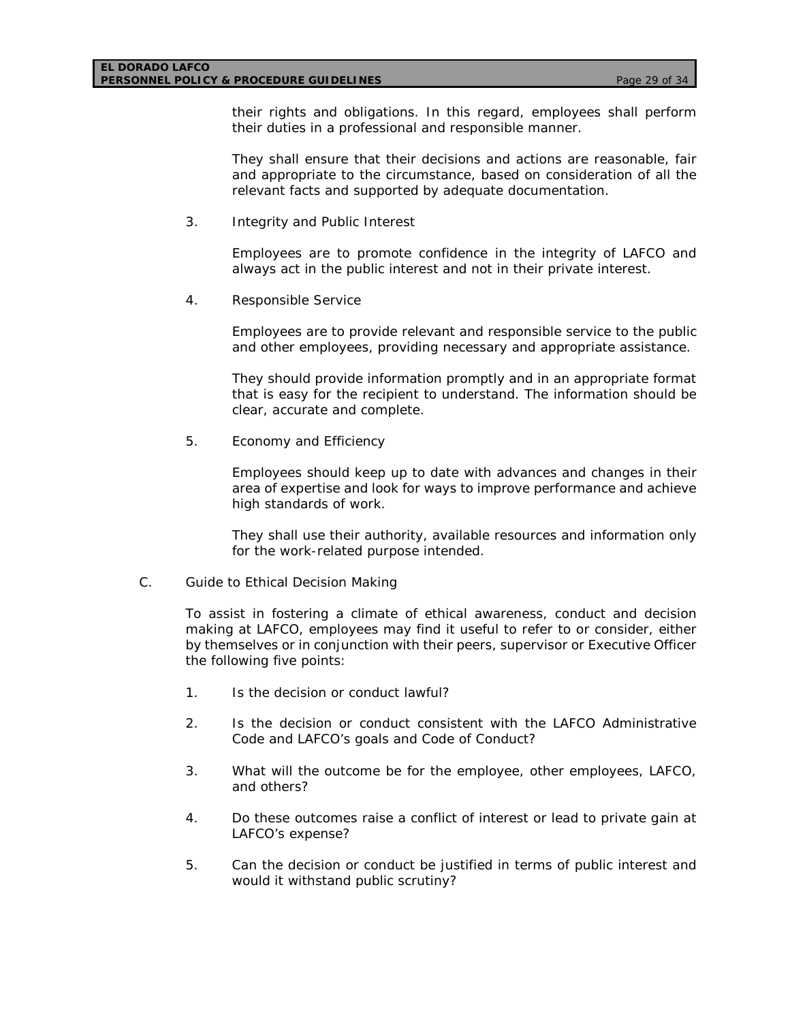#### **EL DORADO LAFCO PERSONNEL POLICY & PROCEDURE GUIDELINES** *Page 29 of 34*

their rights and obligations. In this regard, employees shall perform their duties in a professional and responsible manner.

They shall ensure that their decisions and actions are reasonable, fair and appropriate to the circumstance, based on consideration of all the relevant facts and supported by adequate documentation.

3. Integrity and Public Interest

Employees are to promote confidence in the integrity of LAFCO and always act in the public interest and not in their private interest.

4. Responsible Service

Employees are to provide relevant and responsible service to the public and other employees, providing necessary and appropriate assistance.

They should provide information promptly and in an appropriate format that is easy for the recipient to understand. The information should be clear, accurate and complete.

5. Economy and Efficiency

Employees should keep up to date with advances and changes in their area of expertise and look for ways to improve performance and achieve high standards of work.

They shall use their authority, available resources and information only for the work-related purpose intended.

C. Guide to Ethical Decision Making

To assist in fostering a climate of ethical awareness, conduct and decision making at LAFCO, employees may find it useful to refer to or consider, either by themselves or in conjunction with their peers, supervisor or Executive Officer the following five points:

- 1. Is the decision or conduct lawful?
- 2. Is the decision or conduct consistent with the LAFCO Administrative Code and LAFCO's goals and Code of Conduct?
- 3. What will the outcome be for the employee, other employees, LAFCO, and others?
- 4. Do these outcomes raise a conflict of interest or lead to private gain at LAFCO's expense?
- 5. Can the decision or conduct be justified in terms of public interest and would it withstand public scrutiny?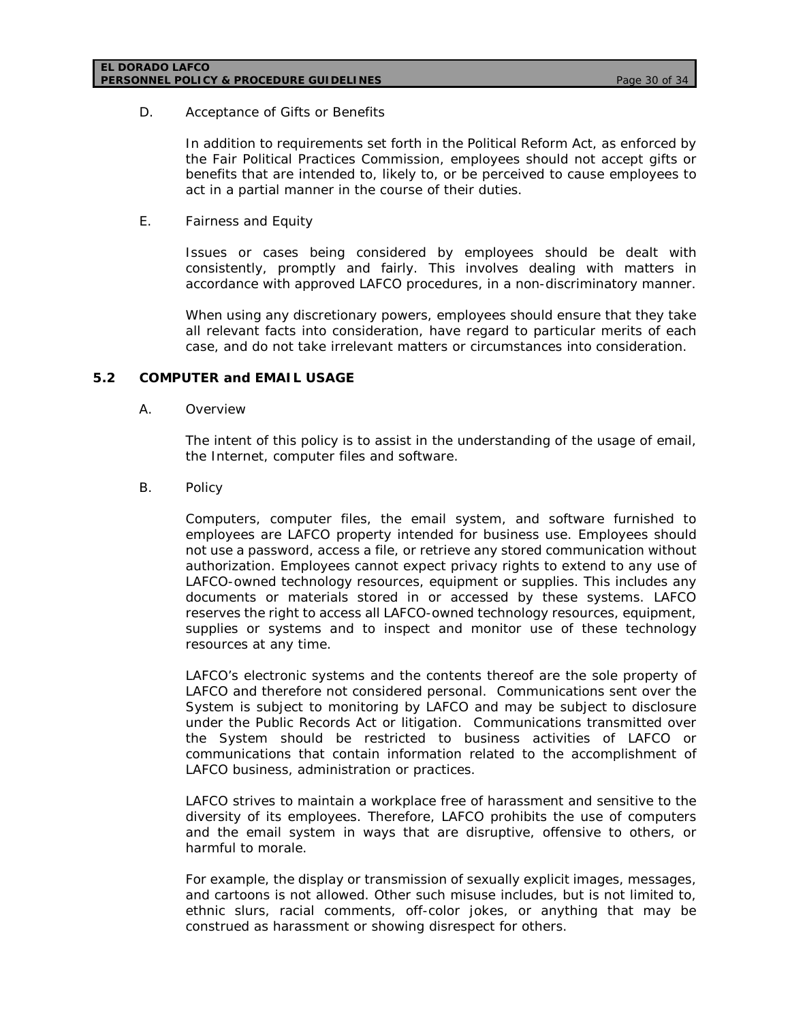### D. Acceptance of Gifts or Benefits

In addition to requirements set forth in the Political Reform Act, as enforced by the Fair Political Practices Commission, employees should not accept gifts or benefits that are intended to, likely to, or be perceived to cause employees to act in a partial manner in the course of their duties.

### E. Fairness and Equity

Issues or cases being considered by employees should be dealt with consistently, promptly and fairly. This involves dealing with matters in accordance with approved LAFCO procedures, in a non-discriminatory manner.

When using any discretionary powers, employees should ensure that they take all relevant facts into consideration, have regard to particular merits of each case, and do not take irrelevant matters or circumstances into consideration.

### **5.2 COMPUTER and EMAIL USAGE**

### A. Overview

The intent of this policy is to assist in the understanding of the usage of email, the Internet, computer files and software.

### B. Policy

Computers, computer files, the email system, and software furnished to employees are LAFCO property intended for business use. Employees should not use a password, access a file, or retrieve any stored communication without authorization. Employees cannot expect privacy rights to extend to any use of LAFCO-owned technology resources, equipment or supplies. This includes any documents or materials stored in or accessed by these systems. LAFCO reserves the right to access all LAFCO-owned technology resources, equipment, supplies or systems and to inspect and monitor use of these technology resources at any time.

LAFCO's electronic systems and the contents thereof are the sole property of LAFCO and therefore not considered personal. Communications sent over the System is subject to monitoring by LAFCO and may be subject to disclosure under the Public Records Act or litigation. Communications transmitted over the System should be restricted to business activities of LAFCO or communications that contain information related to the accomplishment of LAFCO business, administration or practices.

LAFCO strives to maintain a workplace free of harassment and sensitive to the diversity of its employees. Therefore, LAFCO prohibits the use of computers and the email system in ways that are disruptive, offensive to others, or harmful to morale.

For example, the display or transmission of sexually explicit images, messages, and cartoons is not allowed. Other such misuse includes, but is not limited to, ethnic slurs, racial comments, off-color jokes, or anything that may be construed as harassment or showing disrespect for others.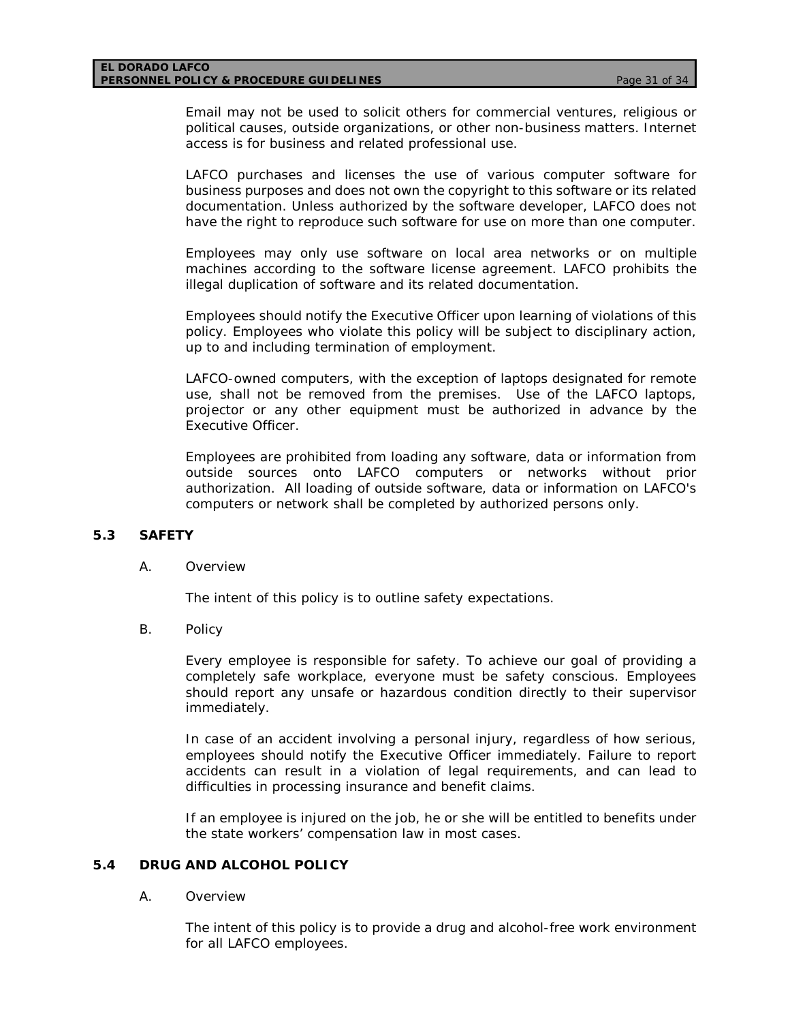#### **EL DORADO LAFCO PERSONNEL POLICY & PROCEDURE GUIDELINES** *Page 31 of 34*

Email may not be used to solicit others for commercial ventures, religious or political causes, outside organizations, or other non-business matters. Internet access is for business and related professional use.

LAFCO purchases and licenses the use of various computer software for business purposes and does not own the copyright to this software or its related documentation. Unless authorized by the software developer, LAFCO does not have the right to reproduce such software for use on more than one computer.

Employees may only use software on local area networks or on multiple machines according to the software license agreement. LAFCO prohibits the illegal duplication of software and its related documentation.

Employees should notify the Executive Officer upon learning of violations of this policy. Employees who violate this policy will be subject to disciplinary action, up to and including termination of employment.

LAFCO-owned computers, with the exception of laptops designated for remote use, shall not be removed from the premises. Use of the LAFCO laptops, projector or any other equipment must be authorized in advance by the Executive Officer.

Employees are prohibited from loading any software, data or information from outside sources onto LAFCO computers or networks without prior authorization. All loading of outside software, data or information on LAFCO's computers or network shall be completed by authorized persons only.

### **5.3 SAFETY**

#### A. Overview

The intent of this policy is to outline safety expectations.

B. Policy

Every employee is responsible for safety. To achieve our goal of providing a completely safe workplace, everyone must be safety conscious. Employees should report any unsafe or hazardous condition directly to their supervisor immediately.

In case of an accident involving a personal injury, regardless of how serious, employees should notify the Executive Officer immediately. Failure to report accidents can result in a violation of legal requirements, and can lead to difficulties in processing insurance and benefit claims.

If an employee is injured on the job, he or she will be entitled to benefits under the state workers' compensation law in most cases.

#### **5.4 DRUG AND ALCOHOL POLICY**

#### A. Overview

The intent of this policy is to provide a drug and alcohol-free work environment for all LAFCO employees.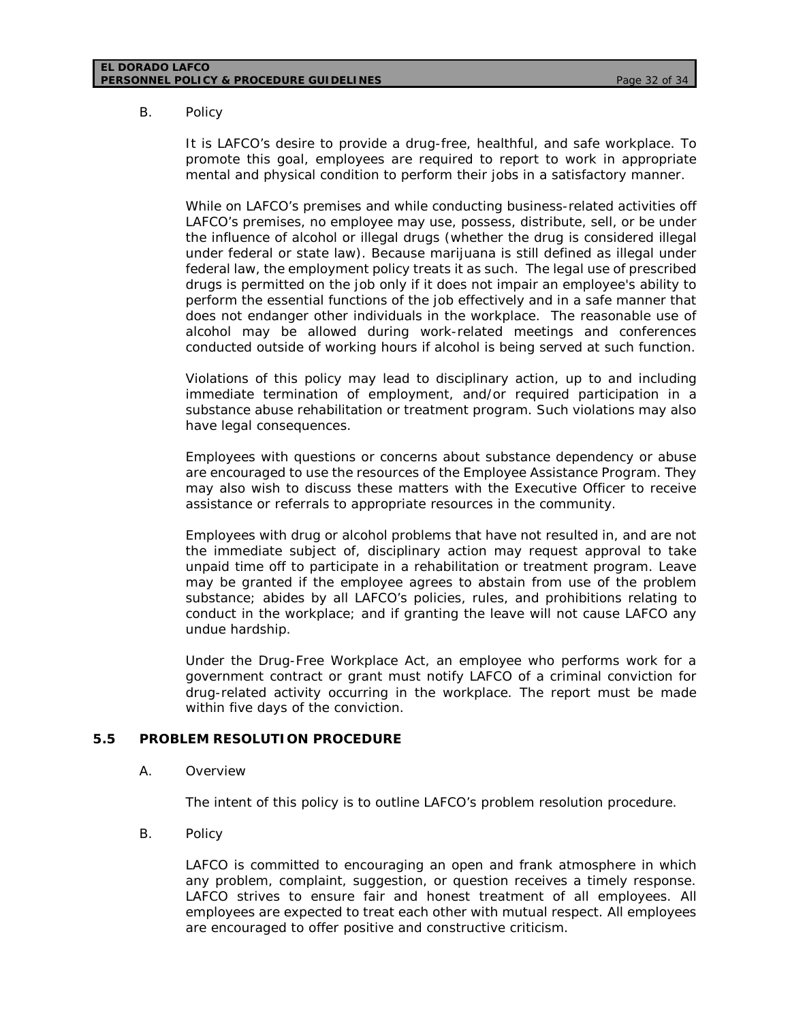#### **EL DORADO LAFCO PERSONNEL POLICY & PROCEDURE GUIDELINES** *Page 32 of 34*

### B. Policy

It is LAFCO's desire to provide a drug-free, healthful, and safe workplace. To promote this goal, employees are required to report to work in appropriate mental and physical condition to perform their jobs in a satisfactory manner.

While on LAFCO's premises and while conducting business-related activities off LAFCO's premises, no employee may use, possess, distribute, sell, or be under the influence of alcohol or illegal drugs (whether the drug is considered illegal under federal or state law). Because marijuana is still defined as illegal under federal law, the employment policy treats it as such. The legal use of prescribed drugs is permitted on the job only if it does not impair an employee's ability to perform the essential functions of the job effectively and in a safe manner that does not endanger other individuals in the workplace. The reasonable use of alcohol may be allowed during work-related meetings and conferences conducted outside of working hours if alcohol is being served at such function.

Violations of this policy may lead to disciplinary action, up to and including immediate termination of employment, and/or required participation in a substance abuse rehabilitation or treatment program. Such violations may also have legal consequences.

Employees with questions or concerns about substance dependency or abuse are encouraged to use the resources of the Employee Assistance Program. They may also wish to discuss these matters with the Executive Officer to receive assistance or referrals to appropriate resources in the community.

Employees with drug or alcohol problems that have not resulted in, and are not the immediate subject of, disciplinary action may request approval to take unpaid time off to participate in a rehabilitation or treatment program. Leave may be granted if the employee agrees to abstain from use of the problem substance; abides by all LAFCO's policies, rules, and prohibitions relating to conduct in the workplace; and if granting the leave will not cause LAFCO any undue hardship.

Under the Drug-Free Workplace Act, an employee who performs work for a government contract or grant must notify LAFCO of a criminal conviction for drug-related activity occurring in the workplace. The report must be made within five days of the conviction.

### **5.5 PROBLEM RESOLUTION PROCEDURE**

### A. Overview

The intent of this policy is to outline LAFCO's problem resolution procedure.

B. Policy

LAFCO is committed to encouraging an open and frank atmosphere in which any problem, complaint, suggestion, or question receives a timely response. LAFCO strives to ensure fair and honest treatment of all employees. All employees are expected to treat each other with mutual respect. All employees are encouraged to offer positive and constructive criticism.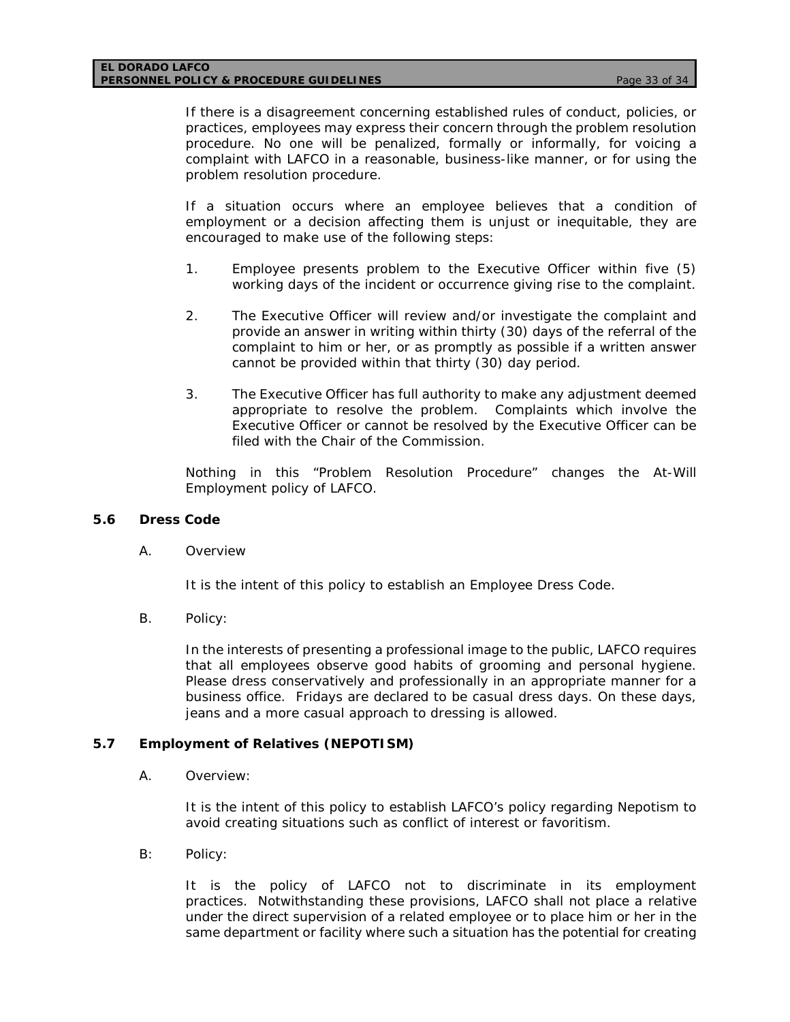If there is a disagreement concerning established rules of conduct, policies, or practices, employees may express their concern through the problem resolution procedure. No one will be penalized, formally or informally, for voicing a complaint with LAFCO in a reasonable, business-like manner, or for using the problem resolution procedure.

If a situation occurs where an employee believes that a condition of employment or a decision affecting them is unjust or inequitable, they are encouraged to make use of the following steps:

- 1. Employee presents problem to the Executive Officer within five (5) working days of the incident or occurrence giving rise to the complaint.
- 2. The Executive Officer will review and/or investigate the complaint and provide an answer in writing within thirty (30) days of the referral of the complaint to him or her, or as promptly as possible if a written answer cannot be provided within that thirty (30) day period.
- 3. The Executive Officer has full authority to make any adjustment deemed appropriate to resolve the problem. Complaints which involve the Executive Officer or cannot be resolved by the Executive Officer can be filed with the Chair of the Commission.

Nothing in this "Problem Resolution Procedure" changes the At-Will Employment policy of LAFCO.

### **5.6 Dress Code**

A. Overview

It is the intent of this policy to establish an Employee Dress Code.

B. Policy:

In the interests of presenting a professional image to the public, LAFCO requires that all employees observe good habits of grooming and personal hygiene. Please dress conservatively and professionally in an appropriate manner for a business office. Fridays are declared to be casual dress days. On these days, jeans and a more casual approach to dressing is allowed.

### **5.7 Employment of Relatives (NEPOTISM)**

A. Overview:

It is the intent of this policy to establish LAFCO's policy regarding Nepotism to avoid creating situations such as conflict of interest or favoritism.

B: Policy:

It is the policy of LAFCO not to discriminate in its employment practices. Notwithstanding these provisions, LAFCO shall not place a relative under the direct supervision of a related employee or to place him or her in the same department or facility where such a situation has the potential for creating